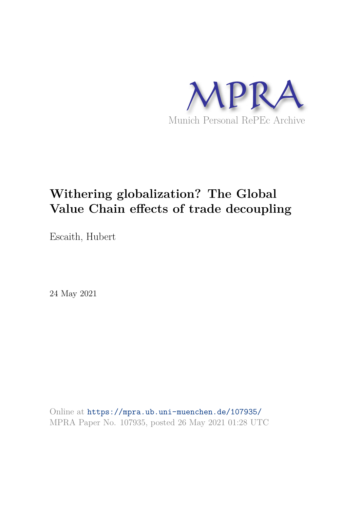

# **Withering globalization? The Global Value Chain effects of trade decoupling**

Escaith, Hubert

24 May 2021

Online at https://mpra.ub.uni-muenchen.de/107935/ MPRA Paper No. 107935, posted 26 May 2021 01:28 UTC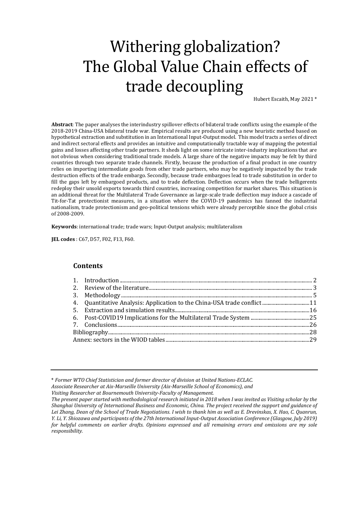# Withering globalization? The Global Value Chain effects of trade decoupling

Hubert Escaith, May 2021 \*

**Abstract**: The paper analyses the interindustry spillover effects of bilateral trade conflicts using the example of the 2018-2019 China-USA bilateral trade war. Empirical results are produced using a new heuristic method based on hypothetical extraction and substitution in an International Input-Output model. This model tracts a series of direct and indirect sectoral effects and provides an intuitive and computationally tractable way of mapping the potential gains and losses affecting other trade partners. It sheds light on some intricate inter-industry implications that are not obvious when considering traditional trade models. A large share of the negative impacts may be felt by third countries through two separate trade channels. Firstly, because the production of a final product in one country relies on importing intermediate goods from other trade partners, who may be negatively impacted by the trade destruction effects of the trade embargo. Secondly, because trade embargoes lead to trade substitution in order to fill the gaps left by embargoed products, and to trade deflection. Deflection occurs when the trade belligerents redeploy their unsold exports towards third countries, increasing competition for market shares. This situation is an additional threat for the Multilateral Trade Governance as large-scale trade deflection may induce a cascade of Tit-for-Tat protectionist measures, in a situation where the COVID-19 pandemics has fanned the industrial nationalism, trade protectionism and geo-political tensions which were already perceptible since the global crisis of 2008-2009.

**Keywords**: international trade; trade wars; Input-Output analysis; multilateralism

**JEL codes** : C67, D57, F02, F13, F60.

#### **Contents**

\* *Former WTO Chief Statistician and former director of division at United Nations-ECLAC.* 

*Associate Researcher at Aix-Marseille University (Aix-Marseille School of Economics), and* 

*Visiting Researcher at Bournemouth University-Faculty of Management.* 

*The present paper started with methodological research initiated in 2018 when I was invited as Visiting scholar by the Shanghai University of International Business and Economic, China. The project received the support and guidance of Lei Zhang, Dean of the School of Trade Negotiations. I wish to thank him as well as E. Drevinskas, X. Hao, C. Quanrun, Y. Li, Y. Shiozawa and participants of the 27th International Input-Output Association Conference (Glasgow, July 2019) for helpful comments on earlier drafts. Opinions expressed and all remaining errors and omissions are my sole responsibility.*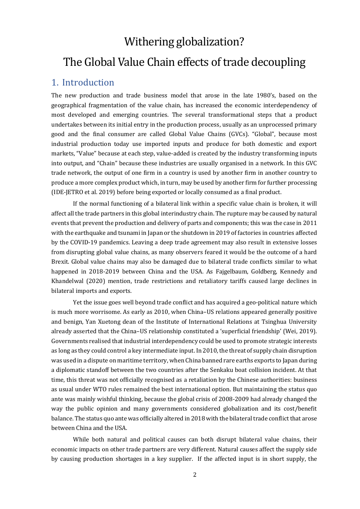# Withering globalization? The Global Value Chain effects of trade decoupling

## <span id="page-2-0"></span>1. Introduction

The new production and trade business model that arose in the late 1980's, based on the geographical fragmentation of the value chain, has increased the economic interdependency of most developed and emerging countries. The several transformational steps that a product undertakes between its initial entry in the production process, usually as an unprocessed primary good and the final consumer are called Global Value Chains (GVCs). "Global", because most industrial production today use imported inputs and produce for both domestic and export markets, "Value" because at each step, value-added is created by the industry transforming inputs into output, and "Chain" because these industries are usually organised in a network. In this GVC trade network, the output of one firm in a country is used by another firm in another country to produce a more complex product which, in turn, may be used by another firm for further processing (IDE-JETRO et al. 2019) before being exported or locally consumed as a final product.

If the normal functioning of a bilateral link within a specific value chain is broken, it will affect all the trade partners in this global interindustry chain. The rupture may be caused by natural events that prevent the production and delivery of parts and components; this was the case in 2011 with the earthquake and tsunami in Japan or the shutdown in 2019 of factories in countries affected by the COVID-19 pandemics. Leaving a deep trade agreement may also result in extensive losses from disrupting global value chains, as many observers feared it would be the outcome of a hard Brexit. Global value chains may also be damaged due to bilateral trade conflicts similar to what happened in 2018-2019 between China and the USA. As Fajgelbaum, Goldberg, Kennedy and Khandelwal (2020) mention, trade restrictions and retaliatory tariffs caused large declines in bilateral imports and exports.

Yet the issue goes well beyond trade conflict and has acquired a geo-political nature which is much more worrisome. As early as 2010, when China–US relations appeared generally positive and benign, Yan Xuetong dean of the Institute of International Relations at Tsinghua University already asserted that the China–US relationship constituted a 'superficial friendship' (Wei, 2019). Governments realised that industrial interdependency could be used to promote strategic interests as long as they could control a key intermediate input. In 2010, the threat of supply chain disruption was used in a dispute on maritime territory, when China banned rare earths exports to Japan during a diplomatic standoff between the two countries after the Senkaku boat collision incident. At that time, this threat was not officially recognised as a retaliation by the Chinese authorities: business as usual under WTO rules remained the best international option. But maintaining the status quo ante was mainly wishful thinking, because the global crisis of 2008-2009 had already changed the way the public opinion and many governments considered globalization and its cost/benefit balance. The status quo ante was officially altered in 2018 with the bilateral trade conflict that arose between China and the USA.

While both natural and political causes can both disrupt bilateral value chains, their economic impacts on other trade partners are very different. Natural causes affect the supply side by causing production shortages in a key supplier. If the affected input is in short supply, the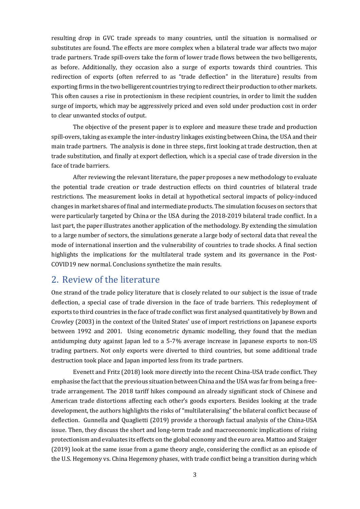resulting drop in GVC trade spreads to many countries, until the situation is normalised or substitutes are found. The effects are more complex when a bilateral trade war affects two major trade partners. Trade spill-overs take the form of lower trade flows between the two belligerents, as before. Additionally, they occasion also a surge of exports towards third countries. This redirection of exports (often referred to as "trade deflection" in the literature) results from exporting firms in the two belligerent countries trying to redirect their production to other markets. This often causes a rise in protectionism in these recipient countries, in order to limit the sudden surge of imports, which may be aggressively priced and even sold under production cost in order to clear unwanted stocks of output.

The objective of the present paper is to explore and measure these trade and production spill-overs, taking as example the inter-industry linkages existing between China, the USA and their main trade partners. The analysis is done in three steps, first looking at trade destruction, then at trade substitution, and finally at export deflection, which is a special case of trade diversion in the face of trade barriers.

After reviewing the relevant literature, the paper proposes a new methodology to evaluate the potential trade creation or trade destruction effects on third countries of bilateral trade restrictions. The measurement looks in detail at hypothetical sectoral impacts of policy-induced changes in market shares of final and intermediate products. The simulation focuses on sectors that were particularly targeted by China or the USA during the 2018-2019 bilateral trade conflict. In a last part, the paper illustrates another application of the methodology. By extending the simulation to a large number of sectors, the simulations generate a large body of sectoral data that reveal the mode of international insertion and the vulnerability of countries to trade shocks. A final section highlights the implications for the multilateral trade system and its governance in the Post-COVID19 new normal. Conclusions synthetize the main results.

## <span id="page-3-0"></span>2. Review of the literature

One strand of the trade policy literature that is closely related to our subject is the issue of trade deflection, a special case of trade diversion in the face of trade barriers. This redeployment of exports to third countries in the face of trade conflict was first analysed quantitatively by Bown and Crowley (2003) in the context of the United States' use of import restrictions on Japanese exports between 1992 and 2001. Using econometric dynamic modelling, they found that the median antidumping duty against Japan led to a 5-7% average increase in Japanese exports to non-US trading partners. Not only exports were diverted to third countries, but some additional trade destruction took place and Japan imported less from its trade partners.

Evenett and Fritz (2018) look more directly into the recent China-USA trade conflict. They emphasise the fact that the previous situation between China and the USA was far from being a freetrade arrangement. The 2018 tariff hikes compound an already significant stock of Chinese and American trade distortions affecting each other's goods exporters. Besides looking at the trade development, the authors highlights the risks of "multilateralising" the bilateral conflict because of deflection. Gunnella and Quaglietti (2019) provide a thorough factual analysis of the China-USA issue. Then, they discuss the short and long-term trade and macroeconomic implications of rising protectionism and evaluates its effects on the global economy and the euro area. Mattoo and Staiger (2019) look at the same issue from a game theory angle, considering the conflict as an episode of the U.S. Hegemony vs. China Hegemony phases, with trade conflict being a transition during which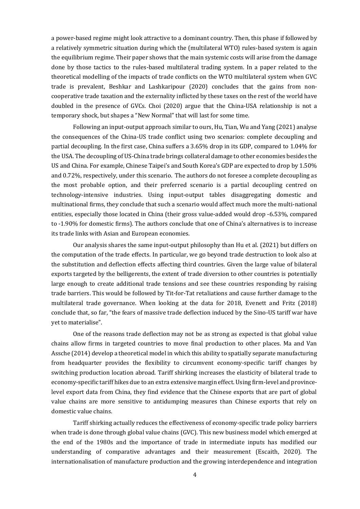a power-based regime might look attractive to a dominant country. Then, this phase if followed by a relatively symmetric situation during which the (multilateral WTO) rules-based system is again the equilibrium regime. Their paper shows that the main systemic costs will arise from the damage done by those tactics to the rules-based multilateral trading system. In a paper related to the theoretical modelling of the impacts of trade conflicts on the WTO multilateral system when GVC trade is prevalent, Beshkar and Lashkaripour (2020) concludes that the gains from noncooperative trade taxation and the externality inflicted by these taxes on the rest of the world have doubled in the presence of GVCs. Choi (2020) argue that the China-USA relationship is not a temporary shock, but shapes a "New Normal" that will last for some time.

Following an input-output approach similar to ours, Hu, Tian, Wu and Yang (2021) analyse the consequences of the China-US trade conflict using two scenarios: complete decoupling and partial decoupling. In the first case, China suffers a 3.65% drop in its GDP, compared to 1.04% for the USA. The decoupling of US-China trade brings collateral damage to other economies besides the US and China. For example, Chinese Taipei's and South Korea's GDP are expected to drop by 1.50% and 0.72%, respectively, under this scenario. The authors do not foresee a complete decoupling as the most probable option, and their preferred scenario is a partial decoupling centred on technology-intensive industries. Using input-output tables disaggregating domestic and multinational firms, they conclude that such a scenario would affect much more the multi-national entities, especially those located in China (their gross value-added would drop -6.53%, compared to -1.90% for domestic firms). The authors conclude that one of China's alternatives is to increase its trade links with Asian and European economies.

Our analysis shares the same input-output philosophy than Hu et al. (2021) but differs on the computation of the trade effects. In particular, we go beyond trade destruction to look also at the substitution and deflection effects affecting third countries. Given the large value of bilateral exports targeted by the belligerents, the extent of trade diversion to other countries is potentially large enough to create additional trade tensions and see these countries responding by raising trade barriers. This would be followed by Tit-for-Tat retaliations and cause further damage to the multilateral trade governance. When looking at the data for 2018, Evenett and Fritz (2018) conclude that, so far, "the fears of massive trade deflection induced by the Sino-US tariff war have yet to materialise".

One of the reasons trade deflection may not be as strong as expected is that global value chains allow firms in targeted countries to move final production to other places. Ma and Van Assche (2014) develop a theoretical model in which this ability to spatially separate manufacturing from headquarter provides the flexibility to circumvent economy-specific tariff changes by switching production location abroad. Tariff shirking increases the elasticity of bilateral trade to economy-specific tariff hikes due to an extra extensive margin effect. Using firm-level and provincelevel export data from China, they find evidence that the Chinese exports that are part of global value chains are more sensitive to antidumping measures than Chinese exports that rely on domestic value chains.

Tariff shirking actually reduces the effectiveness of economy-specific trade policy barriers when trade is done through global value chains (GVC). This new business model which emerged at the end of the 1980s and the importance of trade in intermediate inputs has modified our understanding of comparative advantages and their measurement (Escaith, 2020). The internationalisation of manufacture production and the growing interdependence and integration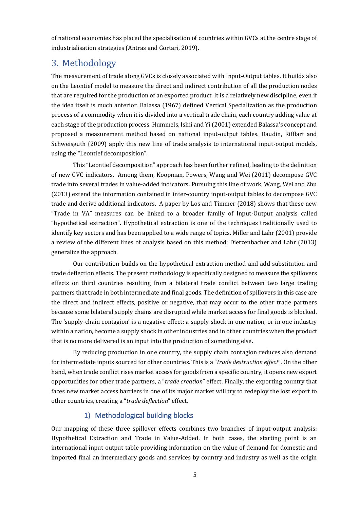of national economies has placed the specialisation of countries within GVCs at the centre stage of industrialisation strategies (Antras and Gortari, 2019).

# <span id="page-5-0"></span>3. Methodology

The measurement of trade along GVCs is closely associated with Input-Output tables. It builds also on the Leontief model to measure the direct and indirect contribution of all the production nodes that are required for the production of an exported product. It is a relatively new discipline, even if the idea itself is much anterior. Balassa (1967) defined Vertical Specialization as the production process of a commodity when it is divided into a vertical trade chain, each country adding value at each stage of the production process. Hummels, Ishii and Yi (2001) extended Balassa's concept and proposed a measurement method based on national input-output tables. Daudin, Rifflart and Schweisguth (2009) apply this new line of trade analysis to international input-output models, using the "Leontief decomposition".

This "Leontief decomposition" approach has been further refined, leading to the definition of new GVC indicators. Among them, Koopman, Powers, Wang and Wei (2011) decompose GVC trade into several trades in value-added indicators. Pursuing this line of work, Wang, Wei and Zhu (2013) extend the information contained in inter-country input-output tables to decompose GVC trade and derive additional indicators. A paper by Los and Timmer (2018) shows that these new "Trade in VA" measures can be linked to a broader family of Input-Output analysis called "hypothetical extraction". Hypothetical extraction is one of the techniques traditionally used to identify key sectors and has been applied to a wide range of topics. Miller and Lahr (2001) provide a review of the different lines of analysis based on this method; Dietzenbacher and Lahr (2013) generalize the approach.

Our contribution builds on the hypothetical extraction method and add substitution and trade deflection effects. The present methodology is specifically designed to measure the spillovers effects on third countries resulting from a bilateral trade conflict between two large trading partners that trade in both intermediate and final goods. The definition of spillovers in this case are the direct and indirect effects, positive or negative, that may occur to the other trade partners because some bilateral supply chains are disrupted while market access for final goods is blocked. The 'supply-chain contagion' is a negative effect: a supply shock in one nation, or in one industry within a nation, become a supply shock in other industries and in other countries when the product that is no more delivered is an input into the production of something else.

By reducing production in one country, the supply chain contagion reduces also demand for intermediate inputs sourced for other countries. This is a "*trade destruction effect*". On the other hand, when trade conflict rises market access for goods from a specific country, it opens new export opportunities for other trade partners, a "*trade creation*" effect. Finally, the exporting country that faces new market access barriers in one of its major market will try to redeploy the lost export to other countries, creating a "*trade deflection*" effect.

## 1) Methodological building blocks

Our mapping of these three spillover effects combines two branches of input-output analysis: Hypothetical Extraction and Trade in Value-Added. In both cases, the starting point is an international input output table providing information on the value of demand for domestic and imported final an intermediary goods and services by country and industry as well as the origin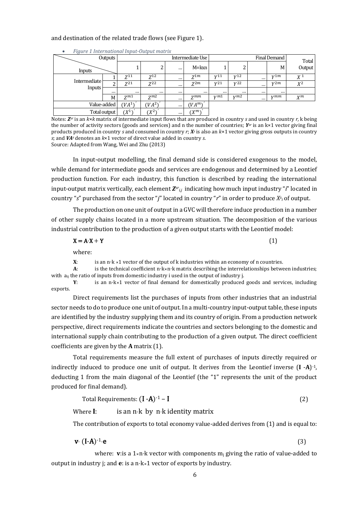#### <span id="page-6-0"></span>and destination of the related trade flows (se[e Figure 1\)](#page-6-0).

| $\sim$<br>Outputs<br>Inputs |              |                    | Final Demand<br>Intermediate Use |          |           |                 |                 | Total    |               |                |
|-----------------------------|--------------|--------------------|----------------------------------|----------|-----------|-----------------|-----------------|----------|---------------|----------------|
|                             |              |                    | ົ<br>∠                           | $\cdots$ | $M = kxn$ |                 | ົ<br>∠          |          | M             | Output         |
|                             |              | $Z^{11}$           | $Z^{12}$                         | $\cdots$ | $Z^{1m}$  | V <sup>11</sup> | V <sub>12</sub> | $\cdots$ | v1m           | X <sup>1</sup> |
| Intermediate                |              | $Z^{21}$           | $7^{22}$                         | $\cdots$ | $Z^{2m}$  | V <sup>21</sup> | V <sub>22</sub> | $\cdots$ | v2m           | $X^2$          |
| Inputs                      |              | $\cdots$           |                                  | $\cdots$ | $\cdots$  |                 | $\cdots$        |          | $\cdots$      |                |
|                             | M            | $Z^{m1}$           | $Z^{m2}$                         | $\cdots$ | $Z^{mm}$  | V <sub>m1</sub> | vm2             |          | $v$ <i>mm</i> | $X^m$          |
|                             | Value-added  | (VA <sup>1</sup> ) | $(VA^2)$                         | $\cdots$ | $(VA^m)$  |                 |                 |          |               |                |
|                             | Total output | $(X^1)$            | $(X^2)$                          | $\cdots$ | $(X^m)$   |                 |                 |          |               |                |

• *Figure 1 International Input-Output matrix*

Notes: *Zsr* is an *k*×*k* matrix of intermediate input flows that are produced in country *s* and used in country *r,* k being the number of activity sectors (goods and services) and n the number of countries; *Ysr* is an k×1 vector giving final products produced in country *s* and consumed in country *r*; *X<sup>s</sup>* is also an *k*×1 vector giving gross outputs in country *s*; and *VA<sup>s</sup>* denotes an *k*×1 vector of direct value added in country *s*.

Source: Adapted from Wang, Wei and Zhu (2013)

In input-output modelling, the final demand side is considered exogenous to the model, while demand for intermediate goods and services are endogenous and determined by a Leontief production function. For each industry, this function is described by reading the international input-output matrix vertically, each element  $\mathbf{Z}^{sr}$  indicating how much input industry "*i*" located in country "*s*" purchased from the sector "*j*" located in country "*r*" in order to produce *X<sup>s</sup> <sup>i</sup>* of output.

The production on one unit of output in a GVC will therefore induce production in a number of other supply chains located in a more upstream situation. The decomposition of the various industrial contribution to the production of a given output starts with the Leontief model:

$$
X = A \cdot X + Y \tag{1}
$$

where:

**X:** is an n⋅k ×1 vector of the output of k industries within an economy of n countries.<br>
A: is the technical coefficient n⋅k×n⋅k matrix describing the interrelationships betwe

**A**: is the technical coefficient n⋅k⨯n⋅k matrix describing the interrelationships between industries; with  $a_{ij}$  the ratio of inputs from domestic industry i used in the output of industry j.<br> **Y**: is an n·k×1 vector of final demand for domestically produced

**Y**: is an n⋅k⨯1 vector of final demand for domestically produced goods and services, including exports.

Direct requirements list the purchases of inputs from other industries that an industrial sector needs to do to produce one unit of output. In a multi-country input-output table, these inputs are identified by the industry supplying them and its country of origin. From a production network perspective, direct requirements indicate the countries and sectors belonging to the domestic and international supply chain contributing to the production of a given output. The direct coefficient coefficients are given by the **A** matrix (1).

Total requirements measure the full extent of purchases of inputs directly required or indirectly induced to produce one unit of output. It derives from the Leontief inverse (**I** -**A**) -1, deducting 1 from the main diagonal of the Leontief (the "1" represents the unit of the product produced for final demand).

#### Total Requirements:  $(I - A)^{-1} - I$ -1 – I(2)

Where **I**: is an n⋅k by n⋅k identity matrix

The contribution of exports to total economy value-added derives from (1) and is equal to:

$$
\mathbf{v} \cdot (\mathbf{I} \cdot \mathbf{A})^{-1} \cdot \mathbf{e} \tag{3}
$$

where: **v**:is a  $1 \times n \cdot k$  vector with components  $m_i$  giving the ratio of value-added to output in industry j; and **e**: is a n⋅k⨯1 vector of exports by industry.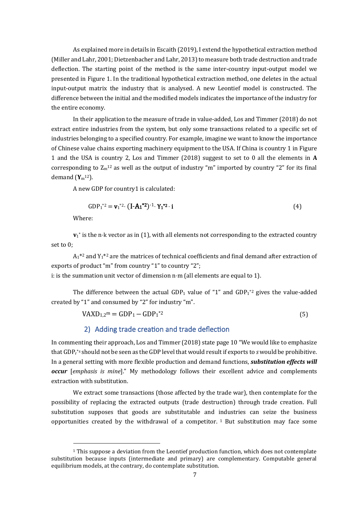As explained more in details in Escaith (2019), I extend the hypothetical extraction method (Miller and Lahr, 2001; Dietzenbacher and Lahr, 2013) to measure both trade destruction and trade deflection. The starting point of the method is the same inter-country input-output model we presented in Figure 1. In the traditional hypothetical extraction method, one deletes in the actual input-output matrix the industry that is analysed. A new Leontief model is constructed. The difference between the initial and the modified models indicates the importance of the industry for the entire economy.

In their application to the measure of trade in value-added, Los and Timmer (2018) do not extract entire industries from the system, but only some transactions related to a specific set of industries belonging to a specified country. For example, imagine we want to know the importance of Chinese value chains exporting machinery equipment to the USA. If China is country 1 in Figure 1 and the USA is country 2, Los and Timmer (2018) suggest to set to 0 all the elements in **A** corresponding to  $Z_m^{12}$  as well as the output of industry "m" imported by country "2" for its final demand (**Y**<sup>m</sup> <sup>12</sup>).

A new GDP for country1 is calculated:

$$
GDP_1^{*2} = \mathbf{v}_1^{*2} \cdot (\mathbf{I} - \mathbf{A_1}^{*2})^{-1} \cdot \mathbf{Y_1}^{*2} \cdot \mathbf{i}
$$
 (4)

Where:

 $**v**<sub>1</sub><sup>*</sup>$  **is the n⋅k vector as in (1), with all elements not corresponding to the extracted country** set to 0;

 $A_1$ <sup>\*2</sup> and  $Y_1$ <sup>\*2</sup> are the matrices of technical coefficients and final demand after extraction of exports of product "m" from country "1" to country "2"; i: is the summation unit vector of dimension n⋅m (all elements are equal to 1).

The difference between the actual  $GDP_1$  value of "1" and  $GDP_1^{\ast 2}$  gives the value-added created by "1" and consumed by "2" for industry "m".

$$
VAXD_{1,2}^{\mathbf{m}} = GDP_1 - GDP_1^{\ast 2}
$$
\n
$$
\tag{5}
$$

#### 2) Adding trade creation and trade deflection

In commenting their approach, Los and Timmer (2018) state page 10 "We would like to emphasize that GDP<sup>r</sup> \*s should not be seen as the GDP level that would result if exports to *s* would be prohibitive. In a general setting with more flexible production and demand functions, *substitution effects will occur* [*emphasis is mine*]." My methodology follows their excellent advice and complements extraction with substitution.

We extract some transactions (those affected by the trade war), then contemplate for the possibility of replacing the extracted outputs (trade destruction) through trade creation. Full substitution supposes that goods are substitutable and industries can seize the business opportunities created by the withdrawal of a competitor.  $1$  But substitution may face some

<sup>1</sup> This suppose a deviation from the Leontief production function, which does not contemplate substitution because inputs (intermediate and primary) are complementary. Computable general equilibrium models, at the contrary, do contemplate substitution.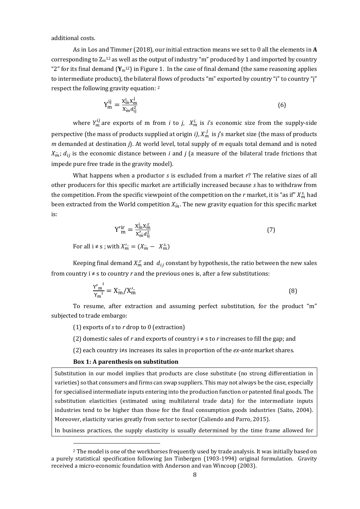additional costs.

As in Los and Timmer (2018), our initial extraction means we set to 0 all the elements in **A** corresponding to  $\rm Z_m$ <sup>12</sup> as well as the output of industry "m" produced by 1 and imported by country " $2$ " for its final demand  $(Y_m^{12})$  in Figure 1. In the case of final demand (the same reasoning applies to intermediate products), the bilateral flows of products "m" exported by country "i" to country "j" respect the following gravity equation: <sup>2</sup>

$$
Y_{m}^{ij} = \frac{X_{m}^{i}X_{m}^{j}}{X_{m}a_{ij}^{2}}
$$
\n
$$
(6)
$$

where  $Y_m^U$  are exports of m from *i* to *j*,  $X_m^i$  is *i*'s economic size from the supply-side perspective (the mass of products supplied at origin *i*),  $X_m^J$  is *j*'s market size (the mass of products *m* demanded at destination *j*). At world level, total supply of *m* equals total demand and is noted  $X_{m}$ ;  $d_{ij}$  is the economic distance between *i* and *j* (a measure of the bilateral trade frictions that impede pure free trade in the gravity model).

What happens when a productor *s* is excluded from a market *r*? The relative sizes of all other producers for this specific market are artificially increased because *s* has to withdraw from the competition. From the specific viewpoint of the competition on the  $r$  market, it is "as if"  $X_m^s$  had been extracted from the World competition  $X_m$ . The new gravity equation for this specific market is:

$$
Y_{m}^{\prime i r} = \frac{X_{m}^i X_{m}^r}{X_{m}^{\prime} d_{ij}^2} \tag{7}
$$

For all  $i \neq s$ ; with  $X'_m = (X_m^s - X_m^s)$ 

Keeping final demand  $X_m^r$  and  $d_{ij}$  constant by hypothesis, the ratio between the new sales from country  $i \neq s$  to country *r* and the previous ones is, after a few substitutions:

$$
\frac{Y'_{m}^{1}}{Y_{m}^{1}} = X_{m}^{\circ}/X_{m}^{\prime}.
$$
 (8)

To resume, after extraction and assuming perfect substitution, for the product "m" subjected to trade embargo:

(1) exports of *s* to *r* drop to 0 (extraction)

(2) domestic sales of *r* and exports of country  $i \neq s$  to *r* increases to fill the gap; and

(2) each country i≠s increases its sales in proportion of the *ex-ante* market shares.

#### **Box 1: A parenthesis on substitution**

Substitution in our model implies that products are close substitute (no strong differentiation in varieties) so that consumers and firms can swap suppliers. This may not always be the case, especially for specialised intermediate inputs entering into the production function or patented final goods. The substitution elasticities (estimated using multilateral trade data) for the intermediate inputs industries tend to be higher than those for the final consumption goods industries (Saito, 2004). Moreover, elasticity varies greatly from sector to sector (Caliendo and Parro, 2015).

In business practices, the supply elasticity is usually determined by the time frame allowed for

<sup>2</sup> The model is one of the workhorses frequently used by trade analysis. It was initially based on a purely statistical specification following Jan Tinbergen (1903-1994) original formulation. Gravity received a micro-economic foundation with Anderson and van Wincoop (2003).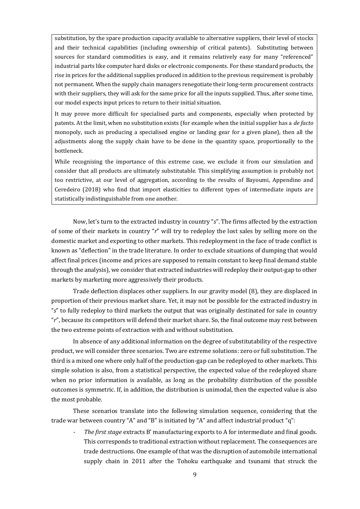substitution, by the spare production capacity available to alternative suppliers, their level of stocks and their technical capabilities (including ownership of critical patents). Substituting between sources for standard commodities is easy, and it remains relatively easy for many "referenced" industrial parts like computer hard disks or electronic components. For these standard products, the rise in prices for the additional supplies produced in addition to the previous requirement is probably not permanent. When the supply chain managers renegotiate their long-term procurement contracts with their suppliers, they will ask for the same price for all the inputs supplied. Thus, after some time, our model expects input prices to return to their initial situation.

It may prove more difficult for specialised parts and components, especially when protected by patents. At the limit, when no substitution exists (for example when the initial supplier has a *de facto* monopoly, such as producing a specialised engine or landing gear for a given plane), then all the adjustments along the supply chain have to be done in the quantity space, proportionally to the bottleneck.

While recognising the importance of this extreme case, we exclude it from our simulation and consider that all products are ultimately substitutable. This simplifying assumption is probably not too restrictive, at our level of aggregation, according to the results of Bayoumi, Appendino and Ceredeiro (2018) who find that import elasticities to different types of intermediate inputs are statistically indistinguishable from one another.

Now, let's turn to the extracted industry in country "*s*". The firms affected by the extraction of some of their markets in country "*r*" will try to redeploy the lost sales by selling more on the domestic market and exporting to other markets. This redeployment in the face of trade conflict is known as "deflection" in the trade literature. In order to exclude situations of dumping that would affect final prices (income and prices are supposed to remain constant to keep final demand stable through the analysis), we consider that extracted industries will redeploy their output-gap to other markets by marketing more aggressively their products.

Trade deflection displaces other suppliers. In our gravity model (8), they are displaced in proportion of their previous market share. Yet, it may not be possible for the extracted industry in "*s*" to fully redeploy to third markets the output that was originally destinated for sale in country "*r*", because its competitors will defend their market share. So, the final outcome may rest between the two extreme points of extraction with and without substitution.

In absence of any additional information on the degree of substitutability of the respective product, we will consider three scenarios. Two are extreme solutions: zero or full substitution. The third is a mixed one where only half of the production-gap can be redeployed to other markets. This simple solution is also, from a statistical perspective, the expected value of the redeployed share when no prior information is available, as long as the probability distribution of the possible outcomes is symmetric. If, in addition, the distribution is unimodal, then the expected value is also the most probable.

These scenarios translate into the following simulation sequence, considering that the trade war between country "A" and "B" is initiated by "A" and affect industrial product "q":

*- The first stage* extracts B' manufacturing exports to A for intermediate and final goods. This corresponds to traditional extraction without replacement. The consequences are trade destructions. One example of that was the disruption of automobile international supply chain in 2011 after the Tohoku earthquake and tsunami that struck the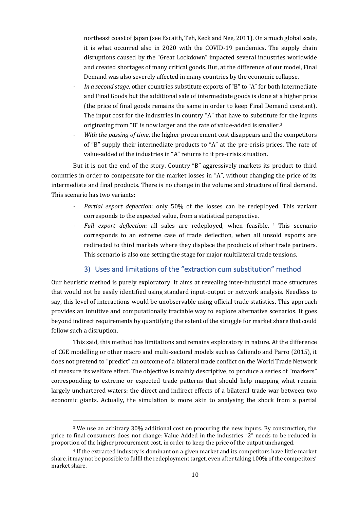northeast coast of Japan (see Escaith, Teh, Keck and Nee, 2011). On a much global scale, it is what occurred also in 2020 with the COVID-19 pandemics. The supply chain disruptions caused by the "Great Lockdown" impacted several industries worldwide and created shortages of many critical goods. But, at the difference of our model, Final Demand was also severely affected in many countries by the economic collapse.

- *- In a second stage*, other countries substitute exports of "B" to "A" for both Intermediate and Final Goods but the additional sale of intermediate goods is done at a higher price (the price of final goods remains the same in order to keep Final Demand constant). The input cost for the industries in country "A" that have to substitute for the inputs originating from "B" is now larger and the rate of value-added is smaller.<sup>3</sup>
- *With the passing of time*, the higher procurement cost disappears and the competitors of "B" supply their intermediate products to "A" at the pre-crisis prices. The rate of value-added of the industries in "A" returns to it pre-crisis situation.

But it is not the end of the story. Country "B" aggressively markets its product to third countries in order to compensate for the market losses in "A", without changing the price of its intermediate and final products. There is no change in the volume and structure of final demand. This scenario has two variants:

- *Partial export deflection*: only 50% of the losses can be redeployed. This variant corresponds to the expected value, from a statistical perspective.
- *- Full export deflection*: all sales are redeployed, when feasible. <sup>4</sup> This scenario corresponds to an extreme case of trade deflection, when all unsold exports are redirected to third markets where they displace the products of other trade partners. This scenario is also one setting the stage for major multilateral trade tensions.

### 3) Uses and limitations of the "extraction cum substitution" method

Our heuristic method is purely exploratory. It aims at revealing inter-industrial trade structures that would not be easily identified using standard input-output or network analysis. Needless to say, this level of interactions would be unobservable using official trade statistics. This approach provides an intuitive and computationally tractable way to explore alternative scenarios. It goes beyond indirect requirements by quantifying the extent of the struggle for market share that could follow such a disruption.

This said, this method has limitations and remains exploratory in nature. At the difference of CGE modelling or other macro and multi-sectoral models such as Caliendo and Parro (2015), it does not pretend to "predict" an outcome of a bilateral trade conflict on the World Trade Network of measure its welfare effect. The objective is mainly descriptive, to produce a series of "markers" corresponding to extreme or expected trade patterns that should help mapping what remain largely unchartered waters: the direct and indirect effects of a bilateral trade war between two economic giants. Actually, the simulation is more akin to analysing the shock from a partial

<sup>3</sup> We use an arbitrary 30% additional cost on procuring the new inputs. By construction, the price to final consumers does not change: Value Added in the industries "2" needs to be reduced in proportion of the higher procurement cost, in order to keep the price of the output unchanged.

<sup>4</sup> If the extracted industry is dominant on a given market and its competitors have little market share, it may not be possible to fulfil the redeployment target, even after taking 100% of the competitors' market share.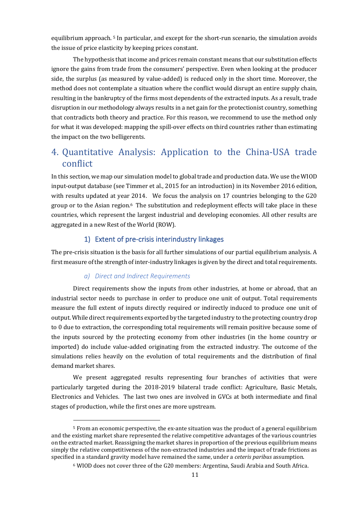equilibrium approach. <sup>5</sup> In particular, and except for the short-run scenario, the simulation avoids the issue of price elasticity by keeping prices constant.

The hypothesis that income and prices remain constant means that our substitution effects ignore the gains from trade from the consumers' perspective. Even when looking at the producer side, the surplus (as measured by value-added) is reduced only in the short time. Moreover, the method does not contemplate a situation where the conflict would disrupt an entire supply chain, resulting in the bankruptcy of the firms most dependents of the extracted inputs. As a result, trade disruption in our methodology always results in a net gain for the protectionist country, something that contradicts both theory and practice. For this reason, we recommend to use the method only for what it was developed: mapping the spill-over effects on third countries rather than estimating the impact on the two belligerents.

# <span id="page-11-0"></span>4. Quantitative Analysis: Application to the China-USA trade conflict

In this section, we map our simulation model to global trade and production data. We use the WIOD input-output database (see Timmer et al., 2015 for an introduction) in its November 2016 edition, with results updated at year 2014. We focus the analysis on 17 countries belonging to the G20 group or to the Asian region.<sup>6</sup> The substitution and redeployment effects will take place in these countries, which represent the largest industrial and developing economies. All other results are aggregated in a new Rest of the World (ROW).

### 1) Extent of pre-crisis interindustry linkages

The pre-crisis situation is the basis for all further simulations of our partial equilibrium analysis. A first measure of the strength of inter-industry linkages is given by the direct and total requirements.

#### *a) Direct and Indirect Requirements*

Direct requirements show the inputs from other industries, at home or abroad, that an industrial sector needs to purchase in order to produce one unit of output. Total requirements measure the full extent of inputs directly required or indirectly induced to produce one unit of output. While direct requirements exported by the targeted industry to the protecting country drop to 0 due to extraction, the corresponding total requirements will remain positive because some of the inputs sourced by the protecting economy from other industries (in the home country or imported) do include value-added originating from the extracted industry. The outcome of the simulations relies heavily on the evolution of total requirements and the distribution of final demand market shares.

We present aggregated results representing four branches of activities that were particularly targeted during the 2018-2019 bilateral trade conflict: Agriculture, Basic Metals, Electronics and Vehicles. The last two ones are involved in GVCs at both intermediate and final stages of production, while the first ones are more upstream.

<sup>5</sup> From an economic perspective, the ex-ante situation was the product of a general equilibrium and the existing market share represented the relative competitive advantages of the various countries on the extracted market. Reassigning the market shares in proportion of the previous equilibrium means simply the relative competitiveness of the non-extracted industries and the impact of trade frictions as specified in a standard gravity model have remained the same, under a *ceteris paribus* assumption.

<sup>6</sup> WIOD does not cover three of the G20 members: Argentina, Saudi Arabia and South Africa.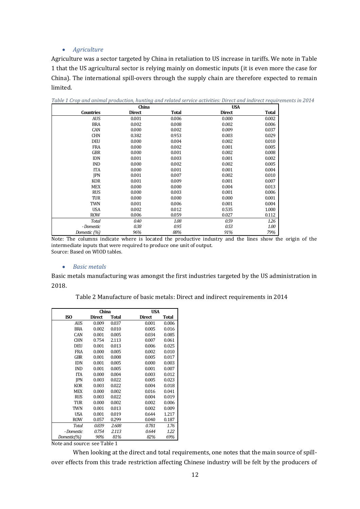#### • *Agriculture*

Agriculture was a sector targeted by China in retaliation to US increase in tariffs. We note in Table 1 that the US agricultural sector is relying mainly on domestic inputs (it is even more the case for China). The international spill-overs through the supply chain are therefore expected to remain limited.

|                  | China         |              | <b>USA</b>    |              |
|------------------|---------------|--------------|---------------|--------------|
| <b>Countries</b> | <b>Direct</b> | <b>Total</b> | <b>Direct</b> | <b>Total</b> |
| <b>AUS</b>       | 0.001         | 0.006        | 0.000         | 0.002        |
| <b>BRA</b>       | 0.002         | 0.008        | 0.002         | 0.006        |
| CAN              | 0.000         | 0.002        | 0.009         | 0.037        |
| <b>CHN</b>       | 0.382         | 0.953        | 0.003         | 0.029        |
| <b>DEU</b>       | 0.000         | 0.004        | 0.002         | 0.010        |
| <b>FRA</b>       | 0.000         | 0.002        | 0.001         | 0.005        |
| <b>GBR</b>       | 0.000         | 0.001        | 0.002         | 0.008        |
| <b>IDN</b>       | 0.001         | 0.003        | 0.001         | 0.002        |
| <b>IND</b>       | 0.000         | 0.002        | 0.002         | 0.005        |
| <b>ITA</b>       | 0.000         | 0.001        | 0.001         | 0.004        |
| <b>JPN</b>       | 0.001         | 0.007        | 0.002         | 0.010        |
| <b>KOR</b>       | 0.001         | 0.009        | 0.001         | 0.007        |
| <b>MEX</b>       | 0.000         | 0.000        | 0.004         | 0.013        |
| <b>RUS</b>       | 0.000         | 0.003        | 0.001         | 0.006        |
| TUR              | 0.000         | 0.000        | 0.000         | 0.001        |
| <b>TWN</b>       | 0.001         | 0.006        | 0.001         | 0.004        |
| <b>USA</b>       | 0.002         | 0.012        | 0.535         | 1.000        |
| <b>ROW</b>       | 0.006         | 0.059        | 0.027         | 0.112        |
| <b>Total</b>     | 0.40          | 1.08         | 0.59          | 1.26         |
| - Domestic       | 0.38          | 0.95         | 0.53          | 1.00         |
| Domestic (%)     | 96%           | 88%          | 91%           | 79%          |

*Table 1 Crop and animal production, hunting and related service activities: Direct and indirect requirements in 2014*

Note: The columns indicate where is located the productive industry and the lines show the origin of the intermediate inputs that were required to produce one unit of output. Source: Based on WIOD tables.

#### • *Basic metals*

Basic metals manufacturing was amongst the first industries targeted by the US administration in 2018.

Table 2 Manufacture of basic metals: Direct and indirect requirements in 2014

|             | China         |              | <b>USA</b>    |              |
|-------------|---------------|--------------|---------------|--------------|
| <b>ISO</b>  | <b>Direct</b> | <b>Total</b> | <b>Direct</b> | <b>Total</b> |
| AUS         | 0.009         | 0.037        | 0.001         | 0.006        |
| <b>BRA</b>  | 0.002         | 0.010        | 0.005         | 0.016        |
| CAN         | 0.001         | 0.005        | 0.034         | 0.085        |
| <b>CHN</b>  | 0.754         | 2.113        | 0.007         | 0.061        |
| <b>DEU</b>  | 0.001         | 0.013        | 0.006         | 0.025        |
| FRA         | 0.000         | 0.005        | 0.002         | 0.010        |
| GBR         | 0.001         | 0.008        | 0.005         | 0.017        |
| <b>IDN</b>  | 0.001         | 0.005        | 0.000         | 0.003        |
| IND         | 0.001         | 0.005        | 0.001         | 0.007        |
| <b>ITA</b>  | 0.000         | 0.004        | 0.003         | 0.012        |
| <b>IPN</b>  | 0.003         | 0.022        | 0.005         | 0.023        |
| <b>KOR</b>  | 0.003         | 0.022        | 0.004         | 0.018        |
| MEX         | 0.000         | 0.002        | 0.016         | 0.041        |
| <b>RUS</b>  | 0.003         | 0.022        | 0.004         | 0.019        |
| TUR         | 0.000         | 0.002        | 0.002         | 0.006        |
| TWN         | 0.001         | 0.013        | 0.002         | 0.009        |
| USA         | 0.001         | 0.019        | 0.644         | 1.217        |
| ROW         | 0.057         | 0.299        | 0.040         | 0.187        |
| Total       | 0.839         | 2.608        | 0.781         | 1.76         |
| - Domestic  | 0.754         | 2.113        | 0.644         | 1.22         |
| Domestic(%) | 90%           | 81%          | 82%           | 69%          |

Note and source: see Table 1

When looking at the direct and total requirements, one notes that the main source of spillover effects from this trade restriction affecting Chinese industry will be felt by the producers of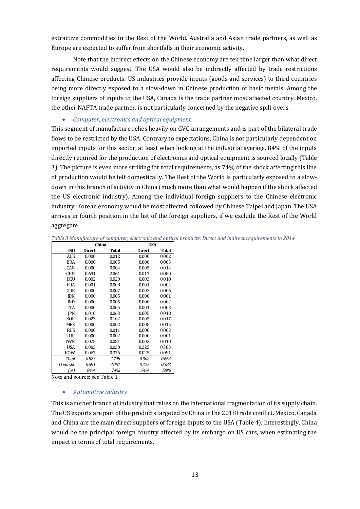extractive commodities in the Rest of the World. Australia and Asian trade partners, as well as Europe are expected to suffer from shortfalls in their economic activity.

Note that the indirect effects on the Chinese economy are ten time larger than what direct requirements would suggest. The USA would also be indirectly affected by trade restrictions affecting Chinese products: US industries provide inputs (goods and services) to third countries being more directly exposed to a slow-down in Chinese production of basic metals. Among the foreign suppliers of inputs to the USA, Canada is the trade partner most affected country. Mexico, the other NAFTA trade partner, is not particularly concerned by the negative spill-overs.

#### • *Computer, electronics and optical equipment*

This segment of manufacture relies heavily on GVC arrangements and is part of the bilateral trade flows to be restricted by the USA. Contrary to expectations, China is not particularly dependent on imported inputs for this sector, at least when looking at the industrial average. 84% of the inputs directly required for the production of electronics and optical equipment is sourced locally (Table 3). The picture is even more striking for total requirements, as 74% of the shock affecting this line of production would be felt domestically. The Rest of the World is particularly exposed to a slowdown in this branch of activity in China (much more than what would happen if the shock affected the US electronic industry). Among the individual foreign suppliers to the Chinese electronic industry, Korean economy would be most affected, followed by Chinese Taipei and Japan. The USA arrives in fourth position in the list of the foreign suppliers, if we exclude the Rest of the World aggregate.

|            | China         |       | <b>USA</b>    |       |
|------------|---------------|-------|---------------|-------|
| ISO        | <b>Direct</b> | Total | <b>Direct</b> | Total |
| <b>AUS</b> | 0.000         | 0.012 | 0.000         | 0.002 |
| BRA        | 0.000         | 0.005 | 0.000         | 0.003 |
| CAN        | 0.000         | 0.004 | 0.005         | 0.014 |
| <b>CHN</b> | 0.691         | 2.061 | 0.017         | 0.080 |
| <b>DEU</b> | 0.002         | 0.020 | 0.003         | 0.010 |
| <b>FRA</b> | 0.001         | 0.008 | 0.001         | 0.004 |
| GBR        | 0.000         | 0.007 | 0.002         | 0.006 |
| <b>IDN</b> | 0.000         | 0.005 | 0.000         | 0.001 |
| <b>IND</b> | 0.000         | 0.005 | 0.000         | 0.002 |
| <b>ITA</b> | 0.000         | 0.005 | 0.001         | 0.003 |
| <b>IPN</b> | 0.010         | 0.063 | 0.005         | 0.018 |
| <b>KOR</b> | 0.023         | 0.102 | 0.005         | 0.017 |
| MEX        | 0.000         | 0.002 | 0.008         | 0.015 |
| <b>RUS</b> | 0.000         | 0.011 | 0.000         | 0.003 |
| TUR        | 0.000         | 0.002 | 0.000         | 0.001 |
| <b>TWN</b> | 0.025         | 0.081 | 0.003         | 0.010 |
| USA        | 0.003         | 0.030 | 0.225         | 0.383 |
| <b>ROW</b> | 0.067         | 0.376 | 0.025         | 0.091 |
| Total      | 0.823         | 2.798 | 0.302         | 0.664 |
| - Domestic | 0.691         | 2.061 | 0.225         | 0.383 |
| (%)        | 84%           | 74%   | 74%           | 58%   |

*Table 3 Manufacture of computer, electronic and optical products: Direct and indirect requirements in 2014*

Note and source: see Table 1

#### • *Automotive industry*

This is another branch of industry that relies on the international fragmentation of its supply chain. The US exports are part of the products targeted by China in the 2018 trade conflict. Mexico, Canada and China are the main direct suppliers of foreign inputs to the USA (Table 4). Interestingly, China would be the principal foreign country affected by its embargo on US cars, when estimating the impact in terms of total requirements.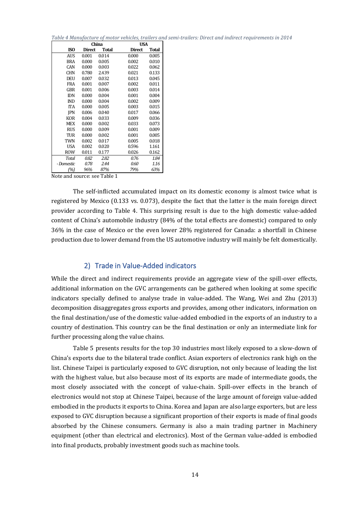*Table 4 Manufacture of motor vehicles, trailers and semi-trailers: Direct and indirect requirements in 2014*

|            |               | China | USA           |              |
|------------|---------------|-------|---------------|--------------|
| ISO        | <b>Direct</b> | Total | <b>Direct</b> | <b>Total</b> |
| AUS        | 0.001         | 0.014 | 0.000         | 0.005        |
| <b>BRA</b> | 0.000         | 0.005 | 0.002         | 0.010        |
| CAN        | 0.000         | 0.003 | 0.022         | 0.062        |
| <b>CHN</b> | 0.780         | 2.439 | 0.021         | 0.133        |
| DEU        | 0.007         | 0.032 | 0.013         | 0.045        |
| <b>FRA</b> | 0.001         | 0.007 | 0.002         | 0.011        |
| GBR        | 0.001         | 0.006 | 0.003         | 0.014        |
| <b>IDN</b> | 0.000         | 0.004 | 0.001         | 0.004        |
| <b>IND</b> | 0.000         | 0.004 | 0.002         | 0.009        |
| <b>ITA</b> | 0.000         | 0.005 | 0.003         | 0.015        |
| <b>IPN</b> | 0.006         | 0.040 | 0.017         | 0.066        |
| <b>KOR</b> | 0.004         | 0.033 | 0.009         | 0.036        |
| MEX        | 0.000         | 0.002 | 0.033         | 0.073        |
| <b>RUS</b> | 0.000         | 0.009 | 0.001         | 0.009        |
| TUR        | 0.000         | 0.002 | 0.001         | 0.005        |
| TWN        | 0.002         | 0.017 | 0.005         | 0.018        |
| USA        | 0.002         | 0.020 | 0.596         | 1.161        |
| <b>ROW</b> | 0.011         | 0.177 | 0.026         | 0.162        |
| Total      | 0.82          | 2.82  | 0.76          | 1.84         |
| - Domestic | 0.78          | 2.44  | 0.60          | 1.16         |
| (%)        | 96%           | 87%   | 79%           | 63%          |

Note and source: see Table 1

The self-inflicted accumulated impact on its domestic economy is almost twice what is registered by Mexico (0.133 vs. 0.073), despite the fact that the latter is the main foreign direct provider according to Table 4. This surprising result is due to the high domestic value-added content of China's automobile industry (84% of the total effects are domestic) compared to only 36% in the case of Mexico or the even lower 28% registered for Canada: a shortfall in Chinese production due to lower demand from the US automotive industry will mainly be felt domestically.

#### 2) Trade in Value-Added indicators

While the direct and indirect requirements provide an aggregate view of the spill-over effects, additional information on the GVC arrangements can be gathered when looking at some specific indicators specially defined to analyse trade in value-added. The Wang, Wei and Zhu (2013) decomposition disaggregates gross exports and provides, among other indicators, information on the final destination/use of the domestic value-added embodied in the exports of an industry to a country of destination. This country can be the final destination or only an intermediate link for further processing along the value chains.

Table 5 presents results for the top 30 industries most likely exposed to a slow-down of China's exports due to the bilateral trade conflict. Asian exporters of electronics rank high on the list. Chinese Taipei is particularly exposed to GVC disruption, not only because of leading the list with the highest value, but also because most of its exports are made of intermediate goods, the most closely associated with the concept of value-chain. Spill-over effects in the branch of electronics would not stop at Chinese Taipei, because of the large amount of foreign value-added embodied in the products it exports to China. Korea and Japan are also large exporters, but are less exposed to GVC disruption because a significant proportion of their exports is made of final goods absorbed by the Chinese consumers. Germany is also a main trading partner in Machinery equipment (other than electrical and electronics). Most of the German value-added is embodied into final products, probably investment goods such as machine tools.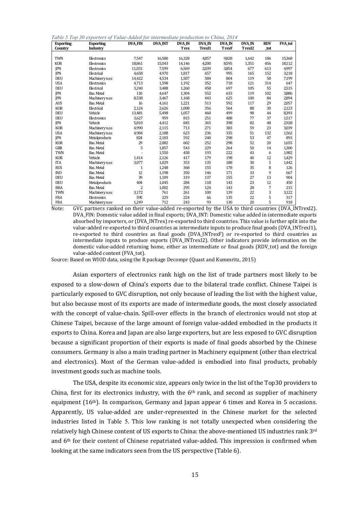|  |  |  |  | Table 5 Top 30 exporters of Value-Added for intermediate production to China, 2014 |  |  |
|--|--|--|--|------------------------------------------------------------------------------------|--|--|
|--|--|--|--|------------------------------------------------------------------------------------|--|--|

| <b>Exporting</b> | <b>Exporting</b>     | <b>DVA FIN</b> | <b>DVA INT</b> | <b>DVA IN</b> | <b>DVA IN</b>      | <b>DVA IN</b> | <b>DVA IN</b> | <b>RDV</b> | <b>FVA</b> tot |
|------------------|----------------------|----------------|----------------|---------------|--------------------|---------------|---------------|------------|----------------|
| Country          | Industry             |                |                | <b>Trex</b>   | Trex <sub>I1</sub> | <b>TrexF</b>  | TrexI2        | tot        |                |
|                  |                      |                |                |               |                    |               |               |            |                |
| <b>TWN</b>       | Electronics          | 7,547          | 16,580         | 16,328        | 4,857              | 9,828         | 1,642         | 186        | 15,368         |
| <b>KOR</b>       | Electronics          | 18,861         | 15,043         | 14,146        | 4,200              | 8,595         | 1,351         | 456        | 18,112         |
| <b>IPN</b>       | Electronics          | 11,031         | 7,599          | 6,569         | 2,039              | 3,854         | 677           | 613        | 4,997          |
| <b>IPN</b>       | Electrical           | 4,658          | 4.970          | 1,817         | 657                | 995           | 165           | 152        | 3,218          |
| <b>DEU</b>       | Machinery n.e.s      | 14,422         | 4,534          | 1,507         | 584                | 804           | 119           | 58         | 7,199          |
| <b>USA</b>       | Electronics          | 4,713          | 1,598          | 1,192         | 352                | 718           | 121           | 314        | 647            |
| <b>DEU</b>       | Electrical           | 3,240          | 3,488          | 1,260         | 458                | 697           | 105           | 55         | 2,515          |
| <b>IPN</b>       | Bas. Metal           | 110            | 4,647          | 1,304         | 552                | 633           | 119           | 102        | 3,886          |
| <b>IPN</b>       | Machinery n.e.s      | 8,538          | 3,467          | 1,168         | 443                | 625           | 100           | 84         | 2,894          |
| <b>AUS</b>       | <b>Bas. Metal</b>    | 16             | 4,161          | 1,221         | 513                | 592           | 117           | 29         | 2,057          |
| <b>KOR</b>       | Electrical           | 2,124          | 2,626          | 1,008         | 356                | 564           | 88            | 30         | 2,123          |
| <b>DEU</b>       | Vehicle              | 13,481         | 5,498          | 1,057         | 460                | 499           | 98            | 44         | 8,393          |
| <b>DEU</b>       | Electronics          | 3.627          | 959            | 815           | 251                | 488           | 77            | 37         | 1,517          |
| <b>IPN</b>       | Vehicle              | 5,810          | 4,412          | 845           | 365                | 398           | 82            | 48         | 2,928          |
| <b>KOR</b>       | Machinery n.e.s      | 4.990          | 2,115          | 713           | 271                | 383           | 59            | 23         | 3,039          |
| <b>USA</b>       | Machinery n.e.s      | 4,984          | 2,188          | 623           | 236                | 335           | 51            | 132        | 1,562          |
| <b>IPN</b>       | Metalproducts        | 824            | 2,183          | 592           | 240                | 298           | 53            | 47         | 893            |
| <b>KOR</b>       | Bas. Metal           | 29             | 2,082          | 602           | 252                | 298           | 52            | 20         | 1,655          |
| <b>GBR</b>       | Bas. Metal           | 5              | 1,857          | 543           | 229                | 264           | 50            | 14         | 1,300          |
| <b>TWN</b>       | Bas. Metal           |                | 1,550          | 458           | 193                | 222           | 43            | 6          | 1,982          |
| <b>KOR</b>       | Vehicle              | 1.414          | 2.126          | 417           | 179                | 198           | 40            | 12         | 1,429          |
| <b>ITA</b>       | Machinery n.e.s      | 3,077          | 1,029          | 353           | 135                | 188           | 30            | 5          | 1,442          |
| <b>RUS</b>       | Bas. Metal           | $\mathbf{1}$   | 1.248          | 368           | 155                | 178           | 35            | 8          | 126            |
| <b>IND</b>       | <b>Bas. Metal</b>    | 12             | 1,198          | 350           | 146                | 171           | 33            | 9          | 667            |
| <b>DEU</b>       | Bas. Metal           | 39             | 1,109          | 319           | 137                | 155           | 27            | 13         | 904            |
| <b>DEU</b>       | Metalproducts        | 404            | 1,045          | 284           | 118                | 143           | 23            | 12         | 450            |
| <b>BRA</b>       | Bas. Metal           | 2              | 1,002          | 295           | 124                | 143           | 28            | 7          | 215            |
| <b>TWN</b>       | <b>Machinery</b> nes | 3,172          | 761            | 261           | 100                | 139           | 22            | 3          | 3,122          |
| <b>FRA</b>       | Electronics          | 595            | 229            | 224           | 66                 | 135           | 22            | 5          | 317            |
| <b>FRA</b>       | Machinery n.e.s      | 1,249          | 712            | 243           | 93                 | 130           | 20            | 5          | 918            |

Note: GVC partners ranked on their value-added re-exported by the USA to third countries (DVA\_INTrexI2). DVA\_FIN: Domestic value added in final exports; DVA\_INT: Domestic value added in intermediate exports absorbed by importers, or (DVA\_INTrex) re-exported to third countries. This value is further split into the value-added re-exported to third countries as intermediate inputs to produce final goods (DVA\_INTrexI1), re-exported to third countries as final goods (DVA\_INTrexF) or re-exported to third countries as intermediate inputs to produce exports (DVA\_INTrexI2). Other indicators provide information on the domestic value-added returning home, either as intermediate or final goods (RDV\_tot) and the foreign value-added content (FVA\_tot).

Source: Based on WIOD data, using the R package Decompr (Quast and Kummritz, 2015)

Asian exporters of electronics rank high on the list of trade partners most likely to be exposed to a slow-down of China's exports due to the bilateral trade conflict. Chinese Taipei is particularly exposed to GVC disruption, not only because of leading the list with the highest value, but also because most of its exports are made of intermediate goods, the most closely associated with the concept of value-chain. Spill-over effects in the branch of electronics would not stop at Chinese Taipei, because of the large amount of foreign value-added embodied in the products it exports to China. Korea and Japan are also large exporters, but are less exposed to GVC disruption because a significant proportion of their exports is made of final goods absorbed by the Chinese consumers. Germany is also a main trading partner in Machinery equipment (other than electrical and electronics). Most of the German value-added is embodied into final products, probably investment goods such as machine tools.

The USA, despite its economic size, appears only twice in the list of the Top30 providers to China, first for its electronics industry, with the  $6<sup>th</sup>$  rank, and second as supplier of machinery equipment (16th). In comparison, Germany and Japan appear 6 times and Korea in 5 occasions. Apparently, US value-added are under-represented in the Chinese market for the selected industries listed in Table 5. This low ranking is not totally unexpected when considering the relatively high Chinese content of US exports to China: the above-mentioned US industries rank 3rd and 6th for their content of Chinese repatriated value-added. This impression is confirmed when looking at the same indicators seen from the US perspective (Table 6).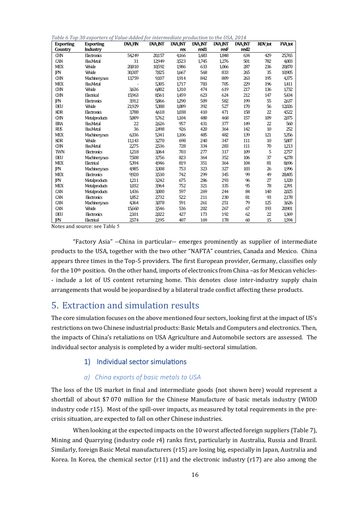*Table 6 Top 30 exporters of Value-Added for intermediate production to the USA, 2014* 

| <b>Exporting</b> | <b>Exporting</b> | <b>DVA FIN</b> | <b>DVA INT</b> | <b>DVA INT</b> | <b>DVA_INT</b> | <b>DVA INT</b> | <b>DVA INT</b>    | RDV_tot | <b>FVA</b> tot |
|------------------|------------------|----------------|----------------|----------------|----------------|----------------|-------------------|---------|----------------|
| Country          | Industry         |                |                | rex            | rexI1          | rexF           | rex <sup>12</sup> |         |                |
| <b>CHN</b>       | Electronics      | 54249          | 20,157         | 4,166          | 1,683          | 1,848          | 634               | 429     | 25,765         |
| CAN              | <b>Bas Metal</b> | 31             | 12,949         | 3,523          | 1,745          | 1,276          | 501               | 782     | 4,003          |
| <b>MEX</b>       | Vehicle          | 20810          | 10,592         | 1,986          | 633            | 1,066          | 287               | 236     | 20,870         |
| <b>IPN</b>       | Vehicle          | 30,307         | 7825           | 1,667          | 568            | 833            | 265               | 35      | 10,905         |
| <b>CHN</b>       | Machinerynes     | 13,759         | 9,107          | 1,914          | 842            | 809            | 263               | 195     | 4,375          |
| <b>MEX</b>       | <b>Bas Metal</b> |                | 5,305          | 1.717          | 783            | 705            | 229               | 196     | 1,411          |
| <b>CHN</b>       | Vehicle          | 3,636          | 6,802          | 1,310          | 474            | 619            | 217               | 136     | 1,732          |
| <b>CHN</b>       | Electrical       | 15,963         | 8,561          | 1,459          | 623            | 624            | 212               | 147     | 5,434          |
| <b>IPN</b>       | Electronics      | 3,912          | 5,866          | 1,290          | 509            | 582            | 199               | 55      | 2,637          |
| DEU              | Vehicle          | 21,929         | 5,388          | 1,089          | 392            | 527            | 170               | 56      | 12,026         |
| <b>KOR</b>       | Electronics      | 3,788          | 4,618          | 1.038          | 410            | 471            | 158               | 22      | 4,522          |
| <b>CHN</b>       | Metalproducts    | 5,009          | 5,762          | 1,104          | 480            | 468            | 157               | 109     | 2,075          |
| <b>BRA</b>       | <b>Bas Metal</b> | 22             | 2,626          | 957            | 431            | 377            | 149               | 22      | 560            |
| <b>RUS</b>       | <b>Bas Metal</b> | 36             | 2,498          | 926            | 420            | 364            | 142               | 10      | 252            |
| <b>MEX</b>       | Machinerynes     | 6336           | 5,341          | 1,106          | 485            | 482            | 139               | 121     | 5,356          |
| <b>KOR</b>       | Vehicle          | 11,143         | 3,270          | 698            | 240            | 347            | 111               | 10      | 5,807          |
| <b>CHN</b>       | <b>Bas</b> Metal | 2,275          | 2,536          | 728            | 334            | 283            | 111               | 70      | 1,213          |
| <b>TWN</b>       | Electronics      | 1,218          | 3,064          | 703            | 277            | 317            | 109               | 5       | 2,757          |
| DEU              | Machinery.nes    | 7,508          | 3,756          | 823            | 364            | 352            | 106               | 37      | 4,278          |
| <b>MEX</b>       | Electrical       | 5,394          | 4,946          | 819            | 351            | 364            | 104               | 81      | 8,696          |
| <b>IPN</b>       | Machinerynes     | 4,985          | 3,308          | 753            | 323            | 327            | 103               | 26      | 1,996          |
| <b>MEX</b>       | Electronics      | 9,920          | 3,530          | 742            | 299            | 345            | 99                | 49      | 28,405         |
| <b>IPN</b>       | Metalproducts    | 1,211          | 3,242          | 675            | 286            | 293            | 96                | 27      | 1,320          |
| <b>MEX</b>       | Metalproducts    | 1,032          | 3,964          | 752            | 321            | 335            | 95                | 78      | 2,391          |
| CAN              | Metalproducts    | 1,436          | 3,000          | 597            | 269            | 244            | 84                | 140     | 2,025          |
| CAN              | Electronics      | 1,852          | 2,732          | 522            | 211            | 230            | 81                | 93      | 2,178          |
| CAN              | Machinerynes     | 4,364          | 3,078          | 591            | 261            | 251            | 79                | 125     | 3,626          |
| CAN              | Vehicle          | 15,660         | 3,546          | 536            | 202            | 267            | 67                | 193     | 20,901         |
| DEU              | Electronics      | 2,101          | 2,022          | 427            | 173            | 192            | 62                | 22      | 1,369          |
| <b>IPN</b>       | Electrical       | 2,574          | 2,195          | 407            | 169            | 178            | 60                | 15      | 1,594          |

Notes and source: see Table 5

"Factory Asia" --China in particular-- emerges prominently as supplier of intermediate products to the USA, together with the two other "NAFTA" countries, Canada and Mexico. China appears three times in the Top-5 providers. The first European provider, Germany, classifies only for the 10<sup>th</sup> position. On the other hand, imports of electronics from China –as for Mexican vehicles-- include a lot of US content returning home. This denotes close inter-industry supply chain arrangements that would be jeopardised by a bilateral trade conflict affecting these products.

# <span id="page-16-0"></span>5. Extraction and simulation results

The core simulation focuses on the above mentioned four sectors, looking first at the impact of US's restrictions on two Chinese industrial products: Basic Metals and Computers and electronics. Then, the impacts of China's retaliations on USA Agriculture and Automobile sectors are assessed. The individual sector analysis is completed by a wider multi-sectoral simulation.

### 1) Individual sector simulations

#### *a) China exports of basic metals to USA*

The loss of the US market in final and intermediate goods (not shown here) would represent a shortfall of about \$7 070 million for the Chinese Manufacture of basic metals industry (WIOD industry code r15). Most of the spill-over impacts, as measured by total requirements in the precrisis situation, are expected to fall on other Chinese industries.

When looking at the expected impacts on the 10 worst affected foreign suppliers (Table 7), Mining and Quarrying (industry code r4) ranks first, particularly in Australia, Russia and Brazil. Similarly, foreign Basic Metal manufacturers (r15) are losing big, especially in Japan, Australia and Korea. In Korea, the chemical sector (r11) and the electronic industry (r17) are also among the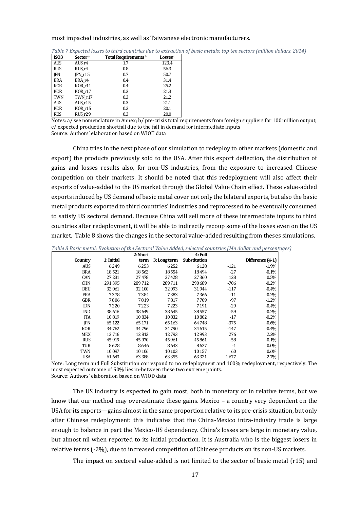#### most impacted industries, as well as Taiwanese electronic manufacturers.

| <b>ISO3</b> | Sector <sup>a</sup> | Total Requirements <sup>b</sup> | Losses <sup>c</sup> |
|-------------|---------------------|---------------------------------|---------------------|
| <b>AUS</b>  | AUS r4              | 1.7                             | 123.4               |
| <b>RUS</b>  | RUS r4              | 0.8                             | 56.3                |
| <b>IPN</b>  | IPN r15             | 0.7                             | 50.7                |
| <b>BRA</b>  | BRA r4              | 0.4                             | 31.4                |
| <b>KOR</b>  | KOR r11             | 0.4                             | 25.2                |
| <b>KOR</b>  | KOR r17             | 0.3                             | 21.3                |
| TWN         | TWN r17             | 0.3                             | 21.2                |
| AUS         | AUS r15             | 0.3                             | 21.1                |
| <b>KOR</b>  | KOR r15             | 0.3                             | 20.1                |
| <b>RUS</b>  | RUS <sub>r29</sub>  | 0.3                             | 20.0                |

*Table 7 Expected losses to third countries due to extraction of basic metals: top ten sectors (million dollars, 2014)*

Notes: a/ see nomenclature in Annex; b/ pre-crisis total requirements from foreign suppliers for 100 million output; c/ expected production shortfall due to the fall in demand for intermediate inputs

Source: Authors' elaboration based on WIOT data

China tries in the next phase of our simulation to redeploy to other markets (domestic and export) the products previously sold to the USA. After this export deflection, the distribution of gains and losses results also, for non-US industries, from the exposure to increased Chinese competition on their markets. It should be noted that this redeployment will also affect their exports of value-added to the US market through the Global Value Chain effect. These value-added exports induced by US demand of basic metal cover not only the bilateral exports, but also the basic metal products exported to third countries' industries and reprocessed to be eventually consumed to satisfy US sectoral demand. Because China will sell more of these intermediate inputs to third countries after redeployment, it will be able to indirectly recoup some of the losses even on the US market. [Table 8 s](#page-17-0)hows the changes in the sectoral value-added resulting from theses simulations.

|            |            | 2: Short |              | 4: Full      |        |                  |
|------------|------------|----------|--------------|--------------|--------|------------------|
| Country    | 1: Initial | term     | 3: Long term | Substitution |        | Difference (4-1) |
| <b>AUS</b> | 6249       | 6253     | 6252         | 6128         | $-121$ | $-1.9%$          |
| <b>BRA</b> | 18521      | 18562    | 18554        | 18494        | $-27$  | $-0.1%$          |
| CAN        | 27231      | 27478    | 27428        | 27360        | 128    | 0.5%             |
| <b>CHN</b> | 291395     | 289712   | 289711       | 290689       | $-706$ | $-0.2%$          |
| <b>DEU</b> | 32061      | 32 100   | 32093        | 31944        | $-117$ | $-0.4%$          |
| <b>FRA</b> | 7378       | 7384     | 7383         | 7366         | $-11$  | $-0.2%$          |
| <b>GBR</b> | 7806       | 7819     | 7817         | 7709         | $-97$  | $-1.2%$          |
| <b>IDN</b> | 7220       | 7223     | 7223         | 7191         | $-29$  | $-0.4%$          |
| <b>IND</b> | 38616      | 38649    | 38645        | 38557        | $-59$  | $-0.2%$          |
| <b>ITA</b> | 10819      | 10834    | 10832        | 10802        | $-17$  | $-0.2%$          |
| <b>IPN</b> | 65122      | 65171    | 65163        | 64748        | $-375$ | $-0.6%$          |
| <b>KOR</b> | 34762      | 34796    | 34790        | 34615        | $-147$ | $-0.4%$          |
| <b>MEX</b> | 12716      | 12813    | 12793        | 12993        | 276    | 2.2%             |
| <b>RUS</b> | 45919      | 45970    | 45 9 61      | 45861        | $-58$  | $-0.1%$          |
| TUR        | 8628       | 8646     | 8643         | 8627         | $-1$   | $0.0\%$          |
| TWN        | 10097      | 10 10 6  | 10 10 3      | 10157        | 60     | 0.6%             |
| <b>USA</b> | 61643      | 63388    | 63355        | 63321        | 1677   | 2.7%             |

<span id="page-17-0"></span>*Table 8 Basic metal: Evolution of the Sectoral Value Added, selected countries (Mn dollar and percentages)*

Note: Long term and Full Substitution correspond to no redeployment and 100% redeployment, respectively. The most expected outcome of 50% lies in-between these two extreme points. Source: Authors' elaboration based on WIOD data

The US industry is expected to gain most, both in monetary or in relative terms, but we know that our method may overestimate these gains. Mexico – a country very dependent on the USA for its exports—gains almost in the same proportion relative to its pre-crisis situation, but only after Chinese redeployment: this indicates that the China-Mexico intra-industry trade is large enough to balance in part the Mexico-US dependency. China's losses are large in monetary value, but almost nil when reported to its initial production. It is Australia who is the biggest losers in relative terms (-2%), due to increased competition of Chinese products on its non-US markets.

The impact on sectoral value-added is not limited to the sector of basic metal (r15) and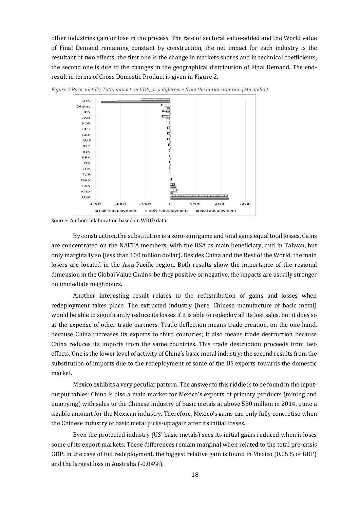other industries gain or lose in the process. The rate of sectoral value-added and the World value of Final Demand remaining constant by construction, the net impact for each industry is the resultant of two effects: the first one is the change in markets shares and in technical coefficients, the second one is due to the changes in the geographical distribution of Final Demand. The endresult in terms of Gross Domestic Product is given in [Figure 2.](#page-18-0)



<span id="page-18-0"></span>*Figure 2 Basic metals: Total impact on GDP, as a difference from the initial situation (Mn dollar)*

Source: Authors' elaboration based on WIOD data

By construction, the substitution is a zero-sum game and total gains equal total losses. Gains are concentrated on the NAFTA members, with the USA as main beneficiary, and in Taiwan, but only marginally so (less than 100 million dollar). Besides China and the Rest of the World, the main losers are located in the Asia-Pacific region. Both results show the importance of the regional dimension in the Global Value Chains: be they positive or negative, the impacts are usually stronger on immediate neighbours.

Another interesting result relates to the redistribution of gains and losses when redeployment takes place. The extracted industry (here, Chinese manufacture of basic metal) would be able to significantly reduce its losses if it is able to redeploy all its lost sales, but it does so at the expense of other trade partners. Trade deflection means trade creation, on the one hand, because China increases its exports to third countries; it also means trade destruction because China reduces its imports from the same countries. This trade destruction proceeds from two effects. One is the lower level of activity of China's basic metal industry; the second results from the substitution of imports due to the redeployment of some of the US exports towards the domestic market.

Mexico exhibits a very peculiar pattern. The answer to this riddle is to be found in the inputoutput tables: China is also a main market for Mexico's exports of primary products (mining and quarrying) with sales to the Chinese industry of basic metals at above 550 million in 2014, quite a sizable amount for the Mexican industry. Therefore, Mexico's gains can only fully concretise when the Chinese industry of basic metal picks-up again after its initial losses.

Even the protected industry (US' basic metals) sees its initial gains reduced when it loses some of its export markets. These differences remain marginal when related to the total pre-crisis GDP: in the case of full redeployment, the biggest relative gain is found in Mexico (0.05% of GDP) and the largest loss in Australia (-0.04%).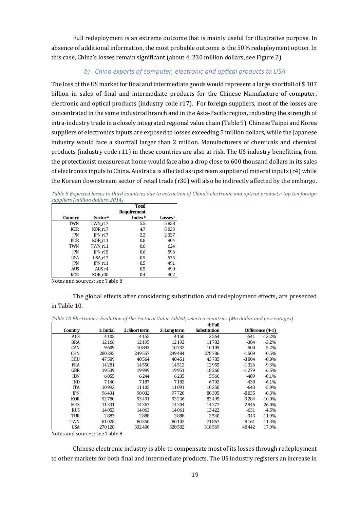Full redeployment is an extreme outcome that is mainly useful for illustrative purpose. In absence of additional information, the most probable outcome is the 50% redeployment option. In this case, China's losses remain significant (about 4, 230 million dollars, see Figure 2).

## *b) China exports of computer, electronic and optical products to USA*

The loss of the US market for final and intermediate goods would represent a large shortfall of \$ 107 billion in sales of final and intermediate products for the Chinese Manufacture of computer, electronic and optical products (industry code r17). For foreign suppliers, most of the losses are concentrated in the same industrial branch and in the Asia-Pacific region, indicating the strength of intra-industry trade in a closely integrated regional value chain [\(Table 9\)](#page-19-0). Chinese Taipei and Korea suppliers of electronics inputs are exposed to losses exceeding 5 million dollars, while the Japanese industry would face a shortfall larger than 2 million. Manufacturers of chemicals and chemical products (industry code r11) in these countries are also at risk. The US industry benefitting from the protectionist measures at home would face also a drop close to 600 thousand dollars in its sales of electronics inputs to China. Australia is affected as upstream supplier of mineral inputs (r4) while the Korean downstream sector of retail trade (r30) will also be indirectly affected by the embargo.

<span id="page-19-0"></span>*Table 9 Expected losses to third countries due to extraction of China's electronic and optical products: top ten foreign suppliers (million dollars, 2014)*

|                 |                     | <b>Total</b>       |                     |
|-----------------|---------------------|--------------------|---------------------|
|                 |                     | Requirement        |                     |
| Country         | Sector <sup>a</sup> | Index <sup>b</sup> | Losses <sup>c</sup> |
| <b>TWN</b>      | TWN r17             | 5.5                | 5858                |
| KOR             | KOR_r17             | 4.7                | 5033                |
| <b>IPN</b>      | IPN r17             | 2.2                | 2327                |
| <b>KOR</b>      | KOR_r11             | 0.8                | 904                 |
| <b>TWN</b>      | TWN r11             | 0.6                | 624                 |
| <b>IPN</b>      | IPN r15             | 0.6                | 596                 |
| <b>USA</b>      | USA r17             | 0.5                | 575                 |
| <b>IPN</b>      | IPN r11             | 0.5                | 491                 |
| <b>AUS</b>      | AUS r4              | 0.5                | 490                 |
| KOR             | KOR r30             | 0.4                | 402                 |
| $N_{1} + 1 - 1$ | J. TT . 1. 1 0      |                    |                     |

Notes and sources: see Table 8

The global effects after considering substitution and redeployment effects, are presented in [Table 10.](#page-19-1)

<span id="page-19-1"></span>*Table 10 Electronics: Evolution of the Sectoral Value Added, selected countries (Mn dollar and percentages)*

|            |            |               |              | 4: Full      |         |                  |
|------------|------------|---------------|--------------|--------------|---------|------------------|
| Country    | 1: Initial | 2: Short term | 3: Long term | Substitution |         | Difference (4-1) |
| <b>AUS</b> | 4105       | 4155          | 4150         | 3564         | -541    | $-13.2%$         |
| <b>BRA</b> | 12166      | 12 1 95       | 12 19 2      | 11782        | $-384$  | $-3.2%$          |
| CAN        | 9609       | 10893         | 10732        | 10109        | 500     | 5.2%             |
| <b>CHN</b> | 280295     | 249557        | 249484       | 278786       | $-1509$ | $-0.5%$          |
| <b>DEU</b> | 47589      | 48564         | 48451        | 43785        | $-3804$ | $-8.0\%$         |
| FRA        | 14281      | 14550         | 14512        | 12955        | $-1326$ | $-9.3%$          |
| <b>GBR</b> | 19539      | 19999         | 19951        | 18260        | $-1279$ | $-6.5%$          |
| <b>IDN</b> | 6055       | 6244          | 6235         | 5566         | -489    | $-8.1%$          |
| <b>IND</b> | 7140       | 7187          | 7182         | 6702         | $-438$  | $-6.1%$          |
| <b>ITA</b> | 10993      | 11 105        | 11091        | 10350        | $-643$  | $-5.9%$          |
| <b>IPN</b> | 96431      | 98032         | 97720        | 88395        | $-8035$ | $-8.3%$          |
| <b>KOR</b> | 92780      | 93491         | 93236        | 83495        | -9284   | $-10.0%$         |
| <b>MEX</b> | 11331      | 14367         | 14204        | 14277        | 2946    | 26.0%            |
| <b>RUS</b> | 14053      | 14063         | 14061        | 13422        | $-631$  | $-4.5%$          |
| TUR        | 2883       | 2888          | 2888         | 2540         | $-343$  | $-11.9%$         |
| TWN        | 81028      | 80350         | 80102        | 71867        | $-9161$ | $-11.3%$         |
| <b>USA</b> | 270 128    | 332400        | 328582       | 318569       | 48442   | 17.9%            |

Notes and sources: se[e Table 8](#page-17-0)

Chinese electronic industry is able to compensate most of its losses through redeployment to other markets for both final and intermediate products. The US industry registers an increase in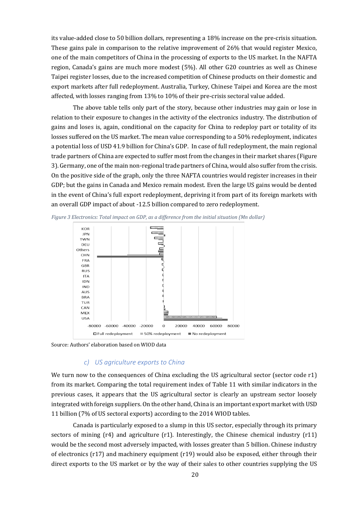its value-added close to 50 billion dollars, representing a 18% increase on the pre-crisis situation. These gains pale in comparison to the relative improvement of 26% that would register Mexico, one of the main competitors of China in the processing of exports to the US market. In the NAFTA region, Canada's gains are much more modest (5%). All other G20 countries as well as Chinese Taipei register losses, due to the increased competition of Chinese products on their domestic and export markets after full redeployment. Australia, Turkey, Chinese Taipei and Korea are the most affected, with losses ranging from 13% to 10% of their pre-crisis sectoral value added.

The above table tells only part of the story, because other industries may gain or lose in relation to their exposure to changes in the activity of the electronics industry. The distribution of gains and loses is, again, conditional on the capacity for China to redeploy part or totality of its losses suffered on the US market. The mean value corresponding to a 50% redeployment, indicates a potential loss of USD 41.9 billion for China's GDP. In case of full redeployment, the main regional trade partners of China are expected to suffer most from the changes in their market shares [\(Figure](#page-20-0)  [3\)](#page-20-0). Germany, one of the main non-regional trade partners of China, would also suffer from the crisis. On the positive side of the graph, only the three NAFTA countries would register increases in their GDP; but the gains in Canada and Mexico remain modest. Even the large US gains would be dented in the event of China's full export redeployment, depriving it from part of its foreign markets with an overall GDP impact of about -12.5 billion compared to zero redeployment.



<span id="page-20-0"></span>*Figure 3 Electronics: Total impact on GDP, as a difference from the initial situation (Mn dollar)*

Source: Authors' elaboration based on WIOD data

#### *c) US agriculture exports to China*

We turn now to the consequences of China excluding the US agricultural sector (sector code r1) from its market. Comparing the total requirement index of [Table 11](#page-21-0) with similar indicators in the previous cases, it appears that the US agricultural sector is clearly an upstream sector loosely integrated with foreign suppliers. On the other hand, China is an important export market with USD 11 billion (7% of US sectoral exports) according to the 2014 WIOD tables.

Canada is particularly exposed to a slump in this US sector, especially through its primary sectors of mining (r4) and agriculture (r1). Interestingly, the Chinese chemical industry (r11) would be the second most adversely impacted, with losses greater than 5 billion. Chinese industry of electronics (r17) and machinery equipment (r19) would also be exposed, either through their direct exports to the US market or by the way of their sales to other countries supplying the US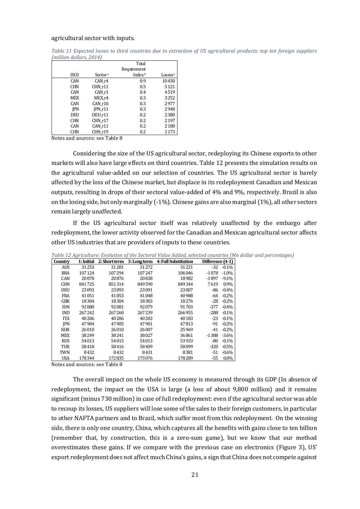#### agricultural sector with inputs.

<span id="page-21-0"></span>*Table 11 Expected losses to third countries due to extraction of US agricultural products: top ten foreign suppliers (million dollars, 2014)*

|                  |                     | Total              |            |  |  |  |
|------------------|---------------------|--------------------|------------|--|--|--|
|                  |                     | Requirement        |            |  |  |  |
| ISO <sub>3</sub> | Sector <sup>a</sup> | Index <sup>b</sup> | Losses $c$ |  |  |  |
| CAN              | CAN r4              | 0.9                | 10430      |  |  |  |
| <b>CHN</b>       | CHN r11             | 0.5                | 5121       |  |  |  |
| <b>CAN</b>       | CAN r1              | 0.4                | 4519       |  |  |  |
| <b>MEX</b>       | MEX r4              | 0.3                | 3252       |  |  |  |
| <b>CAN</b>       | CAN r10             | 0.3                | 2977       |  |  |  |
| <b>IPN</b>       | $IPN_r11$           | 0.3                | 2948       |  |  |  |
| DEU              | DEU r11             | 0.2                | 2380       |  |  |  |
| <b>CHN</b>       | CHN r17             | 0.2                | 2197       |  |  |  |
| <b>CAN</b>       | CAN r11             | 0.2                | 2188       |  |  |  |
| <b>CHN</b>       | CHN r19             | 0.2                | 2173       |  |  |  |

Notes and sources: see Table 8

Considering the size of the US agricultural sector, redeploying its Chinese exports to other markets will also have large effects on third countries. [Table 12](#page-21-1) presents the simulation results on the agricultural value-added on our selection of countries. The US agricultural sector is barely affected by the loss of the Chinese market, but displace in its redeployment Canadian and Mexican outputs, resulting in drops of their sectoral value-added of 4% and 9%, respectively. Brazil is also on the losing side, but only marginally (-1%). Chinese gains are also marginal (1%), all other sectors remain largely unaffected.

If the US agricultural sector itself was relatively unaffected by the embargo after redeployment, the lower activity observed for the Canadian and Mexican agricultural sector affects other US industries that are providers of inputs to these countries.

|            |         |         |         | Table 12 Agriculture: Evolution of the Sectoral Value Added, selected countries (Mn dollar c |                  |               |
|------------|---------|---------|---------|----------------------------------------------------------------------------------------------|------------------|---------------|
| Country    |         |         |         | 1: Initial 2: Short term 3: Long term 4: Full Substitution                                   | Difference (4-1) |               |
| <b>AUS</b> | 31 253  | 31281   | 31272   | 31221                                                                                        |                  | $-32 - 0.1\%$ |
| BRA        | 107 124 | 107294  | 107247  | 106046                                                                                       | $-1078$          | $-1.0\%$      |
| CAN        | 20878   | 20876   | 20838   | 18982                                                                                        | $-1897$          | $-9.1\%$      |
| <b>CHN</b> | 841725  | 851314  | 849590  | 849344                                                                                       | 7619             | $0.9\%$       |
| <b>DEU</b> | 23093   | 23093   | 23091   | 23007                                                                                        | -86              | $-0.4\%$      |
| FRA        | 41051   | 41053   | 41048   | 40988                                                                                        | -64              | $-0.2\%$      |
| GBR        | 18304   | 18304   | 18303   | 18276                                                                                        | -28              | $-0.2\%$      |
| IDN        | 92080   | 92081   | 92079   | 91703                                                                                        | $-377$           | $-0.4\%$      |
| IND        | 267242  | 267260  | 267239  | 266955                                                                                       | -288             | $-0.1\%$      |
| ITA        | 40 20 6 | 40 20 6 | 40 20 2 | 40183                                                                                        | $-23$            | $-0.1\%$      |
| <b>IPN</b> | 47904   | 47905   | 47901   | 47813                                                                                        | $-91$            | $-0.2\%$      |
| <b>KOR</b> | 26010   | 26010   | 26007   | 25969                                                                                        | $-41$            | $-0.2\%$      |
| MEX        | 38249   | 38241   | 38027   | 36861                                                                                        | $-1388$          | $-3.6\%$      |
| <b>RUS</b> | 54013   | 54015   | 54013   | 53933                                                                                        | -80              | $-0.1\%$      |
| TUR        | 58418   | 58416   | 58409   | 58099                                                                                        | $-320$           | $-0.5\%$      |
| TWN        | 8432    | 8432    | 8431    | 8381                                                                                         | -51              | $-0.6\%$      |
| <b>USA</b> | 178344  | 172835  | 173076  | 178289                                                                                       | $-55$            | $0.0\%$       |

<span id="page-21-1"></span>*Table 12 Agriculture: Evolution of the Sectoral Value Added, selected countries (Mn dollar and percentages)*

Notes and sources: se[e Table 8](#page-17-0)

The overall impact on the whole US economy is measured through its GDP [\(In absence of](#page-22-0)  [redeployment, the impact on the USA is large \(a loss of about 9,800 million\) and it remains](#page-22-0)  [significant \(minus 730 million\) in case of full redeployment: even if the agricultural sector was able](#page-22-0)  [to recoup its losses, US suppliers will lose some of the sales to their foreign customers, in particular](#page-22-0)  [to other NAFTA partners and to Brazil, which suffer most from this redeployment. On the winning](#page-22-0)  [side, there is only one country, China, which captures all the benefits with gains close to ten billion](#page-22-0)  [\(remember that, by construction, this is a zero-sum game\), but we know that our method](#page-22-0)  [overestimates these gains. If we compare with the previous case on electronics \(Figure 3\), US'](#page-22-0)  [export redeployment does not affect much China's gains, a sign that China does not compete against](#page-22-0)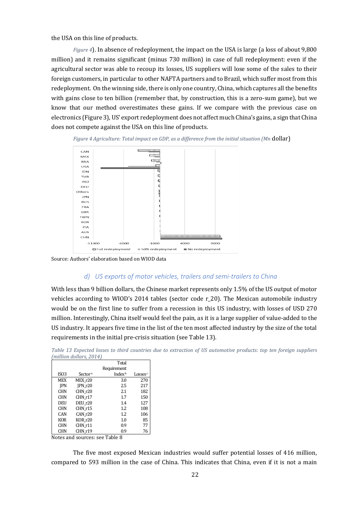[the USA on this line of products.](#page-22-0)

<span id="page-22-0"></span>*[Figure 4](#page-22-0)*). In absence of redeployment, the impact on the USA is large (a loss of about 9,800 million) and it remains significant (minus 730 million) in case of full redeployment: even if the agricultural sector was able to recoup its losses, US suppliers will lose some of the sales to their foreign customers, in particular to other NAFTA partners and to Brazil, which suffer most from this redeployment. On the winning side, there is only one country, China, which captures all the benefits with gains close to ten billion (remember that, by construction, this is a zero-sum game), but we know that our method overestimates these gains. If we compare with the previous case on electronics [\(Figure 3\)](#page-20-0), US' export redeployment does not affect much China's gains, a sign that China does not compete against the USA on this line of products.



*Figure 4 Agriculture: Total impact on GDP, as a difference from the initial situation (Mn* dollar)

Source: Authors' elaboration based on WIOD data

#### *d) US exports of motor vehicles, trailers and semi-trailers to China*

With less than 9 billion dollars, the Chinese market represents only 1.5% of the US output of motor vehicles according to WIOD's 2014 tables (sector code r\_20). The Mexican automobile industry would be on the first line to suffer from a recession in this US industry, with losses of USD 270 million. Interestingly, China itself would feel the pain, as it is a large supplier of value-added to the US industry. It appears five time in the list of the ten most affected industry by the size of the total requirements in the initial pre-crisis situation (see [Table 13\)](#page-22-1).

<span id="page-22-1"></span>*Table 13 Expected losses to third countries due to extraction of US automotive products: top ten foreign suppliers (million dollars, 2014)*

|            |                     | Requirement        |                     |
|------------|---------------------|--------------------|---------------------|
| ISO3       | Sector <sup>a</sup> | Index <sup>b</sup> | Losses <sup>c</sup> |
| <b>MEX</b> | MEX r20             | 3.0                | 270                 |
| <b>IPN</b> | IPN r20             | 2.5                | 217                 |
| <b>CHN</b> | CHN r20             | 2.1                | 182                 |
| <b>CHN</b> | CHN r17             | 1.7                | 150                 |
| DEU        | DEU r20             | 1.4                | 127                 |
| <b>CHN</b> | CHN r15             | 1.2                | 108                 |
| <b>CAN</b> | CAN r20             | 1.2                | 106                 |
| <b>KOR</b> | KOR r20             | 1.0                | 85                  |
| <b>CHN</b> | CHN r11             | 0.9                | 77                  |
| <b>CHN</b> | CHN r19             | 0.9                | 76                  |

Notes and sources: see Table 8

The five most exposed Mexican industries would suffer potential losses of 416 million, compared to 593 million in the case of China. This indicates that China, even if it is not a main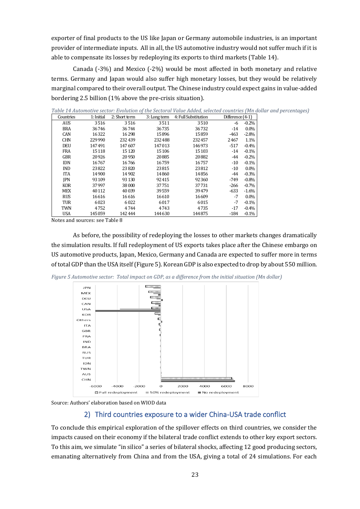exporter of final products to the US like Japan or Germany automobile industries, is an important provider of intermediate inputs. All in all, the US automotive industry would not suffer much if it is able to compensate its losses by redeploying its exports to third markets [\(Table 14\)](#page-23-0).

Canada (-3%) and Mexico (-2%) would be most affected in both monetary and relative terms. Germany and Japan would also suffer high monetary losses, but they would be relatively marginal compared to their overall output. The Chinese industry could expect gains in value-added bordering 2.5 billion (1% above the pre-crisis situation).

| Countries  | 1: Initial | 2: Short term | 3: Long term | 4: Full Substitution | Difference (4-1) |         |
|------------|------------|---------------|--------------|----------------------|------------------|---------|
| <b>AUS</b> | 3516       | 3516          | 3511         | 3510                 | -6               | $-0.2%$ |
| <b>BRA</b> | 36746      | 36744         | 36735        | 36732                | $-14$            | $0.0\%$ |
| CAN        | 16322      | 16298         | 15896        | 15859                | $-463$           | $-2.8%$ |
| <b>CHN</b> | 229990     | 232439        | 232488       | 232457               | 2467             | 1.1%    |
| <b>DEU</b> | 147491     | 147607        | 147013       | 146973               | $-517$           | $-0.4%$ |
| <b>FRA</b> | 15118      | 15 1 20       | 15106        | 15 10 3              | $-14$            | $-0.1%$ |
| <b>GBR</b> | 20926      | 20950         | 20885        | 20882                | -44              | $-0.2%$ |
| <b>IDN</b> | 16767      | 16766         | 16759        | 16757                | $-10$            | $-0.1%$ |
| <b>IND</b> | 23822      | 23820         | 23815        | 23812                | $-10$            | $0.0\%$ |
| <b>ITA</b> | 14900      | 14902         | 14860        | 14856                | -44              | $-0.3%$ |
| <b>IPN</b> | 93109      | 93130         | 92415        | 92360                | $-749$           | $-0.8%$ |
| <b>KOR</b> | 37997      | 38000         | 37751        | 37731                | $-266$           | $-0.7%$ |
| <b>MEX</b> | 40112      | 40039         | 39559        | 39479                | $-633$           | $-1.6%$ |
| <b>RUS</b> | 16616      | 16616         | 16610        | 16609                | $-7$             | $0.0\%$ |
| TUR        | 6023       | 6022          | 6017         | 6015                 | $-7$             | $-0.1%$ |
| <b>TWN</b> | 4752       | 4744          | 4743         | 4735                 | $-17$            | $-0.4%$ |
| <b>USA</b> | 145059     | 142444        | 144630       | 144875               | $-184$           | $-0.1%$ |

<span id="page-23-0"></span>*Table 14 Automotive sector: Evolution of the Sectoral Value Added, selected countries (Mn dollar and percentages)*

Notes and sources: se[e Table 8](#page-17-0)

As before, the possibility of redeploying the losses to other markets changes dramatically the simulation results. If full redeployment of US exports takes place after the Chinese embargo on US automotive products, Japan, Mexico, Germany and Canada are expected to suffer more in terms of total GDP than the USA itself (Figure 5). Korean GDP is also expected to drop by about 550 million.

*Figure 5 Automotive sector: Total impact on GDP, as a difference from the initial situation (Mn dollar)*



Source: Authors' elaboration based on WIOD data

## 2) Third countries exposure to a wider China-USA trade conflict

To conclude this empirical exploration of the spillover effects on third countries, we consider the impacts caused on their economy if the bilateral trade conflict extends to other key export sectors. To this aim, we simulate "in silico" a series of bilateral shocks, affecting 12 good producing sectors, emanating alternatively from China and from the USA, giving a total of 24 simulations. For each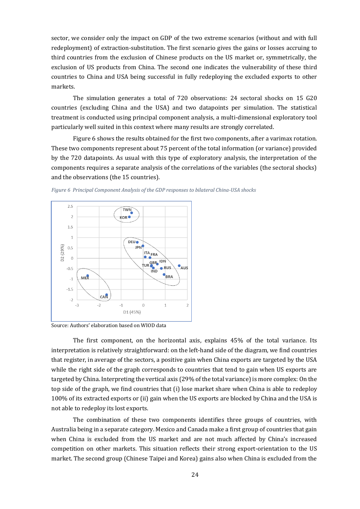sector, we consider only the impact on GDP of the two extreme scenarios (without and with full redeployment) of extraction-substitution. The first scenario gives the gains or losses accruing to third countries from the exclusion of Chinese products on the US market or, symmetrically, the exclusion of US products from China. The second one indicates the vulnerability of these third countries to China and USA being successful in fully redeploying the excluded exports to other markets.

The simulation generates a total of 720 observations: 24 sectoral shocks on 15 G20 countries (excluding China and the USA) and two datapoints per simulation. The statistical treatment is conducted using principal component analysis, a multi-dimensional exploratory tool particularly well suited in this context where many results are strongly correlated.

Figure 6 shows the results obtained for the first two components, after a varimax rotation. These two components represent about 75 percent of the total information (or variance) provided by the 720 datapoints. As usual with this type of exploratory analysis, the interpretation of the components requires a separate analysis of the correlations of the variables (the sectoral shocks) and the observations (the 15 countries).



*Figure 6 Principal Component Analysis of the GDP responses to bilateral China-USA shocks*

Source: Authors' elaboration based on WIOD data

The first component, on the horizontal axis, explains 45% of the total variance. Its interpretation is relatively straightforward: on the left-hand side of the diagram, we find countries that register, in average of the sectors, a positive gain when China exports are targeted by the USA while the right side of the graph corresponds to countries that tend to gain when US exports are targeted by China. Interpreting the vertical axis (29% of the total variance) is more complex: On the top side of the graph, we find countries that (i) lose market share when China is able to redeploy 100% of its extracted exports or (ii) gain when the US exports are blocked by China and the USA is not able to redeploy its lost exports.

The combination of these two components identifies three groups of countries, with Australia being in a separate category. Mexico and Canada make a first group of countries that gain when China is excluded from the US market and are not much affected by China's increased competition on other markets. This situation reflects their strong export-orientation to the US market. The second group (Chinese Taipei and Korea) gains also when China is excluded from the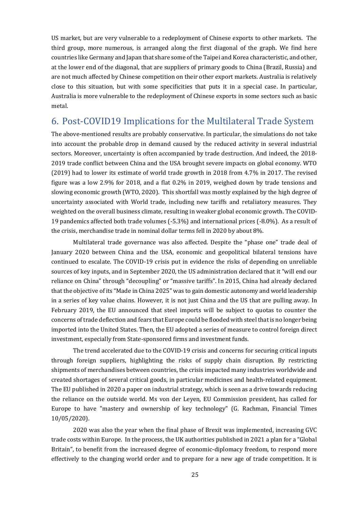US market, but are very vulnerable to a redeployment of Chinese exports to other markets. The third group, more numerous, is arranged along the first diagonal of the graph. We find here countries like Germany and Japan that share some of the Taipei and Korea characteristic, and other, at the lower end of the diagonal, that are suppliers of primary goods to China (Brazil, Russia) and are not much affected by Chinese competition on their other export markets. Australia is relatively close to this situation, but with some specificities that puts it in a special case. In particular, Australia is more vulnerable to the redeployment of Chinese exports in some sectors such as basic metal.

# <span id="page-25-0"></span>6. Post-COVID19 Implications for the Multilateral Trade System

The above-mentioned results are probably conservative. In particular, the simulations do not take into account the probable drop in demand caused by the reduced activity in several industrial sectors. Moreover, uncertainty is often accompanied by trade destruction. And indeed, the 2018- 2019 trade conflict between China and the USA brought severe impacts on global economy. WTO (2019) had to lower its estimate of world trade growth in 2018 from 4.7% in 2017. The revised figure was a low 2.9% for 2018, and a flat 0.2% in 2019, weighed down by trade tensions and slowing economic growth (WTO, 2020). This shortfall was mostly explained by the high degree of uncertainty associated with World trade, including new tariffs and retaliatory measures. They weighted on the overall business climate, resulting in weaker global economic growth. The COVID-19 pandemics affected both trade volumes (-5.3%) and international prices (-8.0%). As a result of the crisis, merchandise trade in nominal dollar terms fell in 2020 by about 8%.

Multilateral trade governance was also affected. Despite the "phase one" trade deal of January 2020 between China and the USA, economic and geopolitical bilateral tensions have continued to escalate. The COVID-19 crisis put in evidence the risks of depending on unreliable sources of key inputs, and in September 2020, the US administration declared that it "will end our reliance on China" through "decoupling" or "massive tariffs". In 2015, China had already declared that the objective of its "Made in China 2025" was to gain domestic autonomy and world leadership in a series of key value chains. However, it is not just China and the US that are pulling away. In February 2019, the EU announced that steel imports will be subject to quotas to counter the concerns of trade deflection and fears that Europe could be flooded with steel that is no longer being imported into the United States. Then, the EU adopted a series of measure to control foreign direct investment, especially from State-sponsored firms and investment funds.

The trend accelerated due to the COVID-19 crisis and concerns for securing critical inputs through foreign suppliers, highlighting the risks of supply chain disruption. By restricting shipments of merchandises between countries, the crisis impacted many industries worldwide and created shortages of several critical goods, in particular medicines and health-related equipment. The EU published in 2020 a paper on industrial strategy, which is seen as a drive towards reducing the reliance on the outside world. Ms von der Leyen, EU Commission president, has called for Europe to have "mastery and ownership of key technology" (G. Rachman, Financial Times 10/05/2020).

2020 was also the year when the final phase of Brexit was implemented, increasing GVC trade costs within Europe. In the process, the UK authorities published in 2021 a plan for a "Global Britain", to benefit from the increased degree of economic-diplomacy freedom, to respond more effectively to the changing world order and to prepare for a new age of trade competition. It is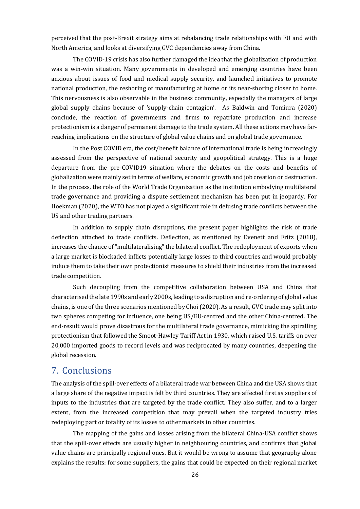perceived that the post-Brexit strategy aims at rebalancing trade relationships with EU and with North America, and looks at diversifying GVC dependencies away from China.

The COVID-19 crisis has also further damaged the idea that the globalization of production was a win-win situation. Many governments in developed and emerging countries have been anxious about issues of food and medical supply security, and launched initiatives to promote national production, the reshoring of manufacturing at home or its near-shoring closer to home. This nervousness is also observable in the business community, especially the managers of large global supply chains because of 'supply-chain contagion'. As Baldwin and Tomiura (2020) conclude, the reaction of governments and firms to repatriate production and increase protectionism is a danger of permanent damage to the trade system. All these actions may have farreaching implications on the structure of global value chains and on global trade governance.

In the Post COVID era, the cost/benefit balance of international trade is being increasingly assessed from the perspective of national security and geopolitical strategy. This is a huge departure from the pre-COVID19 situation where the debates on the costs and benefits of globalization were mainly set in terms of welfare, economic growth and job creation or destruction. In the process, the role of the World Trade Organization as the institution embodying multilateral trade governance and providing a dispute settlement mechanism has been put in jeopardy. For Hoekman (2020), the WTO has not played a significant role in defusing trade conflicts between the US and other trading partners.

In addition to supply chain disruptions, the present paper highlights the risk of trade deflection attached to trade conflicts. Deflection, as mentioned by Evenett and Fritz (2018), increases the chance of "multilateralising" the bilateral conflict. The redeployment of exports when a large market is blockaded inflicts potentially large losses to third countries and would probably induce them to take their own protectionist measures to shield their industries from the increased trade competition.

Such decoupling from the competitive collaboration between USA and China that characterised the late 1990s and early 2000s, leading to a disruption and re-ordering of global value chains, is one of the three scenarios mentioned by Choi (2020). As a result, GVC trade may split into two spheres competing for influence, one being US/EU-centred and the other China-centred. The end-result would prove disastrous for the multilateral trade governance, mimicking the spiralling protectionism that followed the Smoot-Hawley Tariff Act in 1930, which raised U.S. tariffs on over 20,000 imported goods to record levels and was reciprocated by many countries, deepening the global recession.

## <span id="page-26-0"></span>7. Conclusions

The analysis of the spill-over effects of a bilateral trade war between China and the USA shows that a large share of the negative impact is felt by third countries. They are affected first as suppliers of inputs to the industries that are targeted by the trade conflict. They also suffer, and to a larger extent, from the increased competition that may prevail when the targeted industry tries redeploying part or totality of its losses to other markets in other countries.

The mapping of the gains and losses arising from the bilateral China-USA conflict shows that the spill-over effects are usually higher in neighbouring countries, and confirms that global value chains are principally regional ones. But it would be wrong to assume that geography alone explains the results: for some suppliers, the gains that could be expected on their regional market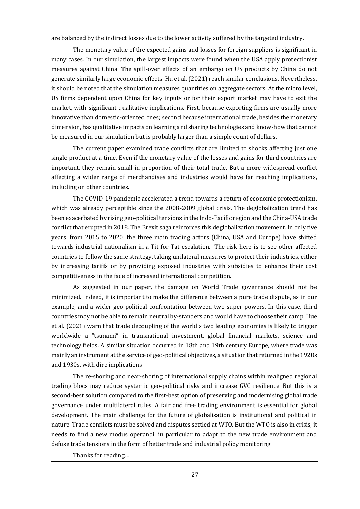are balanced by the indirect losses due to the lower activity suffered by the targeted industry.

The monetary value of the expected gains and losses for foreign suppliers is significant in many cases. In our simulation, the largest impacts were found when the USA apply protectionist measures against China. The spill-over effects of an embargo on US products by China do not generate similarly large economic effects. Hu et al. (2021) reach similar conclusions. Nevertheless, it should be noted that the simulation measures quantities on aggregate sectors. At the micro level, US firms dependent upon China for key inputs or for their export market may have to exit the market, with significant qualitative implications. First, because exporting firms are usually more innovative than domestic-oriented ones; second because international trade, besides the monetary dimension, has qualitative impacts on learning and sharing technologies and know-how that cannot be measured in our simulation but is probably larger than a simple count of dollars.

The current paper examined trade conflicts that are limited to shocks affecting just one single product at a time. Even if the monetary value of the losses and gains for third countries are important, they remain small in proportion of their total trade. But a more widespread conflict affecting a wider range of merchandises and industries would have far reaching implications, including on other countries.

The COVID-19 pandemic accelerated a trend towards a return of economic protectionism, which was already perceptible since the 2008-2009 global crisis. The deglobalization trend has been exacerbated by rising geo-political tensions in the Indo-Pacific region and the China-USA trade conflict that erupted in 2018. The Brexit saga reinforces this deglobalization movement. In only five years, from 2015 to 2020, the three main trading actors (China, USA and Europe) have shifted towards industrial nationalism in a Tit-for-Tat escalation. The risk here is to see other affected countries to follow the same strategy, taking unilateral measures to protect their industries, either by increasing tariffs or by providing exposed industries with subsidies to enhance their cost competitiveness in the face of increased international competition.

As suggested in our paper, the damage on World Trade governance should not be minimized. Indeed, it is important to make the difference between a pure trade dispute, as in our example, and a wider geo-political confrontation between two super-powers. In this case, third countries may not be able to remain neutral by-standers and would have to choose their camp. Hue et al. (2021) warn that trade decoupling of the world's two leading economies is likely to trigger worldwide a "tsunami" in transnational investment, global financial markets, science and technology fields. A similar situation occurred in 18th and 19th century Europe, where trade was mainly an instrument at the service of geo-political objectives, a situation that returned in the 1920s and 1930s, with dire implications.

The re-shoring and near-shoring of international supply chains within realigned regional trading blocs may reduce systemic geo-political risks and increase GVC resilience. But this is a second-best solution compared to the first-best option of preserving and modernising global trade governance under multilateral rules. A fair and free trading environment is essential for global development. The main challenge for the future of globalisation is institutional and political in nature. Trade conflicts must be solved and disputes settled at WTO. But the WTO is also in crisis, it needs to find a new modus operandi, in particular to adapt to the new trade environment and defuse trade tensions in the form of better trade and industrial policy monitoring.

Thanks for reading…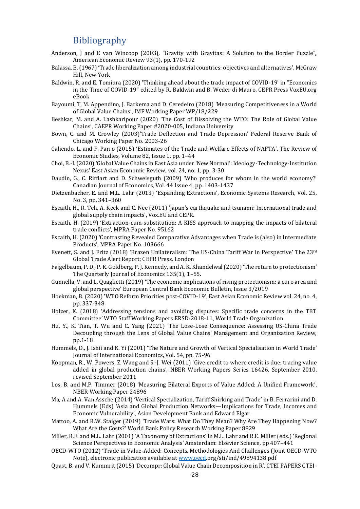## Bibliography

- <span id="page-28-0"></span>Anderson, J and E van Wincoop (2003), "Gravity with Gravitas: A Solution to the Border Puzzle", American Economic Review 93(1), pp. 170-192
- Balassa, B. (1967) 'Trade liberalization among industrial countries: objectives and alternatives', McGraw Hill, New York
- Baldwin, R. and E. Tomiura (2020) 'Thinking ahead about the trade impact of COVID-19' in "Economics in the Time of COVID-19" edited by R. Baldwin and B. Weder di Mauro, CEPR Press VoxEU.org eBook
- Bayoumi, T, M. Appendino, J. Barkema and D. Ceredeiro (2018) 'Measuring Competitiveness in a World of Global Value Chains', IMF Working Paper WP/18/229
- Beshkar, M. and A. Lashkaripour (2020) 'The Cost of Dissolving the WTO: The Role of Global Value Chains', CAEPR Working Paper #2020-005, Indiana University
- Bown, C. and M. Crowley (2003)'Trade Deflection and Trade Depression' Federal Reserve Bank of Chicago Working Paper No. 2003-26
- Caliendo, L. and F. Parro (2015) 'Estimates of the Trade and Welfare Effects of NAFTA', The Review of Economic Studies, Volume 82, Issue 1, pp. 1–44
- Choi, B.-I. (2020) 'Global Value Chains in East Asia under 'New Normal': Ideology-Technology-Institution Nexus' East Asian Economic Review, vol. 24, no. 1, pp. 3-30
- Daudin, G., C. Rifflart and D. Schweisguth (2009) 'Who produces for whom in the world economy?' Canadian Journal of Economics, Vol. 44 Issue 4, pp. 1403-1437
- Dietzenbacher, E. and M.L. Lahr (2013) 'Expanding Extractions', Economic Systems Research, Vol. 25, No. 3, pp. 341–360
- Escaith, H., R. Teh, A. Keck and C. Nee (2011) 'Japan's earthquake and tsunami: International trade and global supply chain impacts', Vox.EU and CEPR.
- Escaith, H. (2019) 'Extraction-cum-substitution: A KISS approach to mapping the impacts of bilateral trade conflicts', MPRA Paper No. 95162
- Escaith, H. (2020) 'Contrasting Revealed Comparative Advantages when Trade is (also) in Intermediate Products', MPRA Paper No. 103666
- Evenett, S. and J. Fritz (2018) 'Brazen Unilateralism: The US-China Tariff War in Perspective' The 23rd Global Trade Alert Report; CEPR Press, London
- Fajgelbaum, P. D., P. K. Goldberg, P. J. Kennedy, and A. K. Khandelwal (2020) 'The return to protectionism' The Quarterly Journal of Economics 135(1), 1–55.
- Gunnella, V. and L. Quaglietti (2019) 'The economic implications of rising protectionism: a euro area and global perspective' European Central Bank Economic Bulletin, Issue 3/2019
- Hoekman, B. (2020) 'WTO Reform Priorities post-COVID-19', East Asian Economic Review vol. 24, no. 4, pp. 337-348
- Holzer, K. (2018) 'Addressing tensions and avoiding disputes: Specific trade concerns in the TBT Committee' WTO Staff Working Papers ERSD-2018-11, World Trade Organization
- Hu, Y., K. Tian, T. Wu and C. Yang (2021) 'The Lose-Lose Consequence: Assessing US-China Trade Decoupling through the Lens of Global Value Chains' Management and Organization Review, pp.1-18
- Hummels, D., J. Ishii and K. Yi (2001) 'The Nature and Growth of Vertical Specialisation in World Trade' Journal of International Economics, Vol. 54, pp. 75-96
- Koopman, R., W. Powers, Z. Wang and S.-J. Wei (2011) 'Give credit to where credit is due: tracing value added in global production chains', NBER Working Papers Series 16426, September 2010, revised September 2011
- Los, B. and M.P. Timmer (2018) 'Measuring Bilateral Exports of Value Added: A Unified Framework', NBER Working Paper 24896
- Ma, A and A. Van Assche (2014) 'Vertical Specialization, Tariff Shirking and Trade' in B. Ferrarini and D. Hummels (Eds) 'Asia and Global Production Networks—Implications for Trade, Incomes and Economic Vulnerability', Asian Development Bank and Edward Elgar.
- Mattoo, A. and R.W. Staiger (2019) 'Trade Wars: What Do They Mean? Why Are They Happening Now? What Are the Costs?' World Bank Policy Research Working Paper 8829
- Miller, R.E. and M.L. Lahr (2001) 'A Taxonomy of Extractions' in M.L. Lahr and R.E. Miller (eds.) 'Regional Science Perspectives in Economic Analysis' Amsterdam: Elsevier Science, pp 407–441
- OECD-WTO (2012) 'Trade in Value-Added: Concepts, Methodologies And Challenges (Joint OECD-WTO Note), electronic publication available a[t www.oecd.](http://www.oecd/)org/sti/ind/49894138.pdf
- Quast, B. and V. Kummrit (2015) 'Decompr: Global Value Chain Decomposition in R', CTEI PAPERS CTEI-